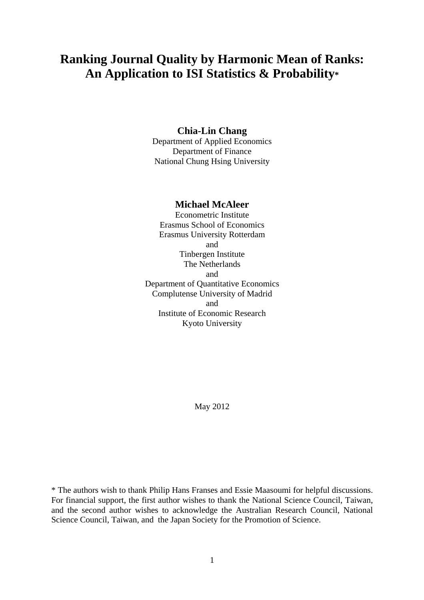# **Ranking Journal Quality by Harmonic Mean of Ranks: An Application to ISI Statistics & Probability\***

# **Chia-Lin Chang**

Department of Applied Economics Department of Finance National Chung Hsing University

# **Michael McAleer**

Econometric Institute Erasmus School of Economics Erasmus University Rotterdam and Tinbergen Institute The Netherlands and Department of Quantitative Economics Complutense University of Madrid and Institute of Economic Research Kyoto University

May 2012

\* The authors wish to thank Philip Hans Franses and Essie Maasoumi for helpful discussions. For financial support, the first author wishes to thank the National Science Council, Taiwan, and the second author wishes to acknowledge the Australian Research Council, National Science Council, Taiwan, and the Japan Society for the Promotion of Science.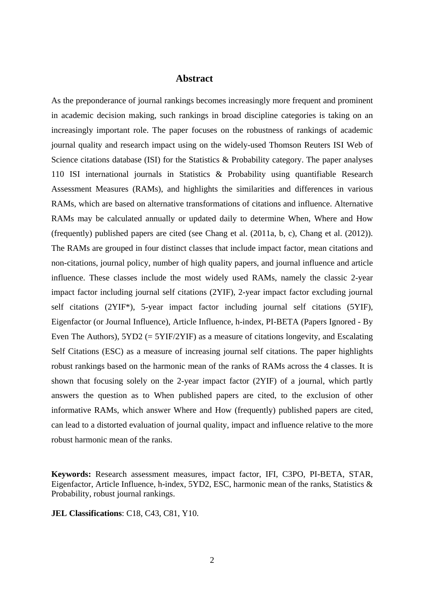# **Abstract**

As the preponderance of journal rankings becomes increasingly more frequent and prominent in academic decision making, such rankings in broad discipline categories is taking on an increasingly important role. The paper focuses on the robustness of rankings of academic journal quality and research impact using on the widely-used Thomson Reuters ISI Web of Science citations database (ISI) for the Statistics & Probability category. The paper analyses 110 ISI international journals in Statistics & Probability using quantifiable Research Assessment Measures (RAMs), and highlights the similarities and differences in various RAMs, which are based on alternative transformations of citations and influence. Alternative RAMs may be calculated annually or updated daily to determine When, Where and How (frequently) published papers are cited (see Chang et al. (2011a, b, c), Chang et al. (2012)). The RAMs are grouped in four distinct classes that include impact factor, mean citations and non-citations, journal policy, number of high quality papers, and journal influence and article influence. These classes include the most widely used RAMs, namely the classic 2-year impact factor including journal self citations (2YIF), 2-year impact factor excluding journal self citations (2YIF\*), 5-year impact factor including journal self citations (5YIF), Eigenfactor (or Journal Influence), Article Influence, h-index, PI-BETA (Papers Ignored - By Even The Authors), 5YD2 (= 5YIF/2YIF) as a measure of citations longevity, and Escalating Self Citations (ESC) as a measure of increasing journal self citations. The paper highlights robust rankings based on the harmonic mean of the ranks of RAMs across the 4 classes. It is shown that focusing solely on the 2-year impact factor (2YIF) of a journal, which partly answers the question as to When published papers are cited, to the exclusion of other informative RAMs, which answer Where and How (frequently) published papers are cited, can lead to a distorted evaluation of journal quality, impact and influence relative to the more robust harmonic mean of the ranks.

**Keywords:** Research assessment measures, impact factor, IFI, C3PO, PI-BETA, STAR, Eigenfactor, Article Influence, h-index, 5YD2, ESC, harmonic mean of the ranks, Statistics & Probability, robust journal rankings.

**JEL Classifications**: C18, C43, C81, Y10.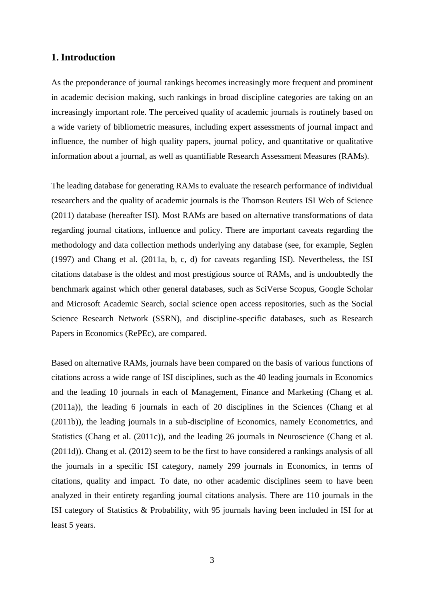# **1. Introduction**

As the preponderance of journal rankings becomes increasingly more frequent and prominent in academic decision making, such rankings in broad discipline categories are taking on an increasingly important role. The perceived quality of academic journals is routinely based on a wide variety of bibliometric measures, including expert assessments of journal impact and influence, the number of high quality papers, journal policy, and quantitative or qualitative information about a journal, as well as quantifiable Research Assessment Measures (RAMs).

The leading database for generating RAMs to evaluate the research performance of individual researchers and the quality of academic journals is the Thomson Reuters ISI Web of Science (2011) database (hereafter ISI). Most RAMs are based on alternative transformations of data regarding journal citations, influence and policy. There are important caveats regarding the methodology and data collection methods underlying any database (see, for example, Seglen (1997) and Chang et al. (2011a, b, c, d) for caveats regarding ISI). Nevertheless, the ISI citations database is the oldest and most prestigious source of RAMs, and is undoubtedly the benchmark against which other general databases, such as SciVerse Scopus, Google Scholar and Microsoft Academic Search, social science open access repositories, such as the Social Science Research Network (SSRN), and discipline-specific databases, such as Research Papers in Economics (RePEc), are compared.

Based on alternative RAMs, journals have been compared on the basis of various functions of citations across a wide range of ISI disciplines, such as the 40 leading journals in Economics and the leading 10 journals in each of Management, Finance and Marketing (Chang et al. (2011a)), the leading 6 journals in each of 20 disciplines in the Sciences (Chang et al (2011b)), the leading journals in a sub-discipline of Economics, namely Econometrics, and Statistics (Chang et al. (2011c)), and the leading 26 journals in Neuroscience (Chang et al. (2011d)). Chang et al. (2012) seem to be the first to have considered a rankings analysis of all the journals in a specific ISI category, namely 299 journals in Economics, in terms of citations, quality and impact. To date, no other academic disciplines seem to have been analyzed in their entirety regarding journal citations analysis. There are 110 journals in the ISI category of Statistics & Probability, with 95 journals having been included in ISI for at least 5 years.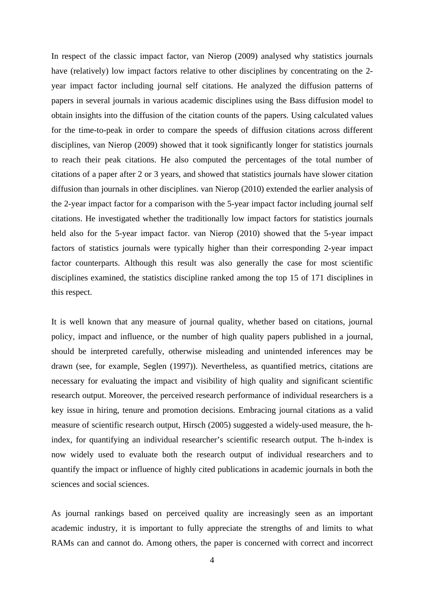In respect of the classic impact factor, van Nierop (2009) analysed why statistics journals have (relatively) low impact factors relative to other disciplines by concentrating on the 2 year impact factor including journal self citations. He analyzed the diffusion patterns of papers in several journals in various academic disciplines using the Bass diffusion model to obtain insights into the diffusion of the citation counts of the papers. Using calculated values for the time-to-peak in order to compare the speeds of diffusion citations across different disciplines, van Nierop (2009) showed that it took significantly longer for statistics journals to reach their peak citations. He also computed the percentages of the total number of citations of a paper after 2 or 3 years, and showed that statistics journals have slower citation diffusion than journals in other disciplines. van Nierop (2010) extended the earlier analysis of the 2-year impact factor for a comparison with the 5-year impact factor including journal self citations. He investigated whether the traditionally low impact factors for statistics journals held also for the 5-year impact factor. van Nierop (2010) showed that the 5-year impact factors of statistics journals were typically higher than their corresponding 2-year impact factor counterparts. Although this result was also generally the case for most scientific disciplines examined, the statistics discipline ranked among the top 15 of 171 disciplines in this respect.

It is well known that any measure of journal quality, whether based on citations, journal policy, impact and influence, or the number of high quality papers published in a journal, should be interpreted carefully, otherwise misleading and unintended inferences may be drawn (see, for example, Seglen (1997)). Nevertheless, as quantified metrics, citations are necessary for evaluating the impact and visibility of high quality and significant scientific research output. Moreover, the perceived research performance of individual researchers is a key issue in hiring, tenure and promotion decisions. Embracing journal citations as a valid measure of scientific research output, Hirsch (2005) suggested a widely-used measure, the hindex, for quantifying an individual researcher's scientific research output. The h-index is now widely used to evaluate both the research output of individual researchers and to quantify the impact or influence of highly cited publications in academic journals in both the sciences and social sciences.

As journal rankings based on perceived quality are increasingly seen as an important academic industry, it is important to fully appreciate the strengths of and limits to what RAMs can and cannot do. Among others, the paper is concerned with correct and incorrect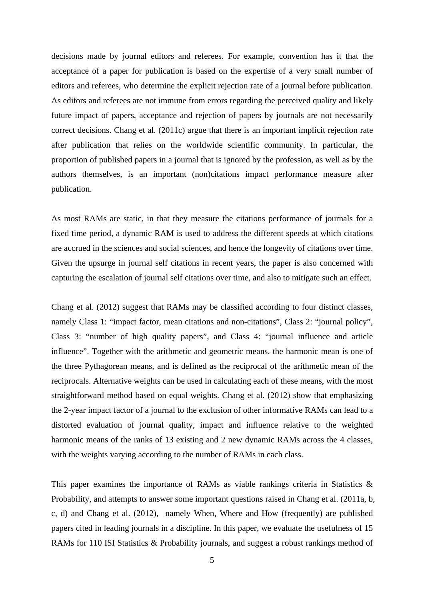decisions made by journal editors and referees. For example, convention has it that the acceptance of a paper for publication is based on the expertise of a very small number of editors and referees, who determine the explicit rejection rate of a journal before publication. As editors and referees are not immune from errors regarding the perceived quality and likely future impact of papers, acceptance and rejection of papers by journals are not necessarily correct decisions. Chang et al. (2011c) argue that there is an important implicit rejection rate after publication that relies on the worldwide scientific community. In particular, the proportion of published papers in a journal that is ignored by the profession, as well as by the authors themselves, is an important (non)citations impact performance measure after publication.

As most RAMs are static, in that they measure the citations performance of journals for a fixed time period, a dynamic RAM is used to address the different speeds at which citations are accrued in the sciences and social sciences, and hence the longevity of citations over time. Given the upsurge in journal self citations in recent years, the paper is also concerned with capturing the escalation of journal self citations over time, and also to mitigate such an effect.

Chang et al. (2012) suggest that RAMs may be classified according to four distinct classes, namely Class 1: "impact factor, mean citations and non-citations", Class 2: "journal policy", Class 3: "number of high quality papers", and Class 4: "journal influence and article influence". Together with the arithmetic and geometric means, the harmonic mean is one of the three Pythagorean means, and is defined as the reciprocal of the arithmetic mean of the reciprocals. Alternative weights can be used in calculating each of these means, with the most straightforward method based on equal weights. Chang et al. (2012) show that emphasizing the 2-year impact factor of a journal to the exclusion of other informative RAMs can lead to a distorted evaluation of journal quality, impact and influence relative to the weighted harmonic means of the ranks of 13 existing and 2 new dynamic RAMs across the 4 classes, with the weights varying according to the number of RAMs in each class.

This paper examines the importance of RAMs as viable rankings criteria in Statistics & Probability, and attempts to answer some important questions raised in Chang et al. (2011a, b, c, d) and Chang et al. (2012), namely When, Where and How (frequently) are published papers cited in leading journals in a discipline. In this paper, we evaluate the usefulness of 15 RAMs for 110 ISI Statistics & Probability journals, and suggest a robust rankings method of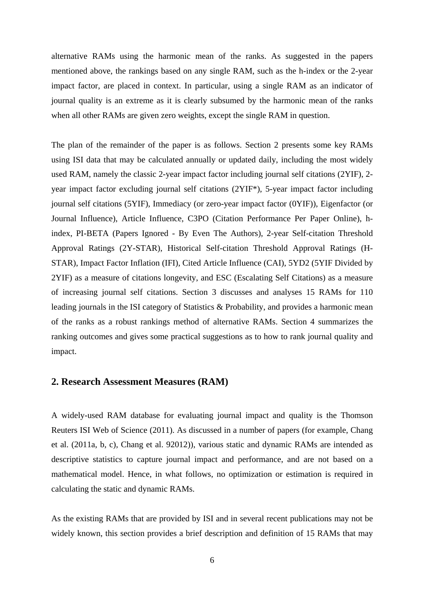alternative RAMs using the harmonic mean of the ranks. As suggested in the papers mentioned above, the rankings based on any single RAM, such as the h-index or the 2-year impact factor, are placed in context. In particular, using a single RAM as an indicator of journal quality is an extreme as it is clearly subsumed by the harmonic mean of the ranks when all other RAMs are given zero weights, except the single RAM in question.

The plan of the remainder of the paper is as follows. Section 2 presents some key RAMs using ISI data that may be calculated annually or updated daily, including the most widely used RAM, namely the classic 2-year impact factor including journal self citations (2YIF), 2 year impact factor excluding journal self citations (2YIF\*), 5-year impact factor including journal self citations (5YIF), Immediacy (or zero-year impact factor (0YIF)), Eigenfactor (or Journal Influence), Article Influence, C3PO (Citation Performance Per Paper Online), hindex, PI-BETA (Papers Ignored - By Even The Authors), 2-year Self-citation Threshold Approval Ratings (2Y-STAR), Historical Self-citation Threshold Approval Ratings (H-STAR), Impact Factor Inflation (IFI), Cited Article Influence (CAI), 5YD2 (5YIF Divided by 2YIF) as a measure of citations longevity, and ESC (Escalating Self Citations) as a measure of increasing journal self citations. Section 3 discusses and analyses 15 RAMs for 110 leading journals in the ISI category of Statistics & Probability, and provides a harmonic mean of the ranks as a robust rankings method of alternative RAMs. Section 4 summarizes the ranking outcomes and gives some practical suggestions as to how to rank journal quality and impact.

# **2. Research Assessment Measures (RAM)**

A widely-used RAM database for evaluating journal impact and quality is the Thomson Reuters ISI Web of Science (2011). As discussed in a number of papers (for example, Chang et al. (2011a, b, c), Chang et al. 92012)), various static and dynamic RAMs are intended as descriptive statistics to capture journal impact and performance, and are not based on a mathematical model. Hence, in what follows, no optimization or estimation is required in calculating the static and dynamic RAMs.

As the existing RAMs that are provided by ISI and in several recent publications may not be widely known, this section provides a brief description and definition of 15 RAMs that may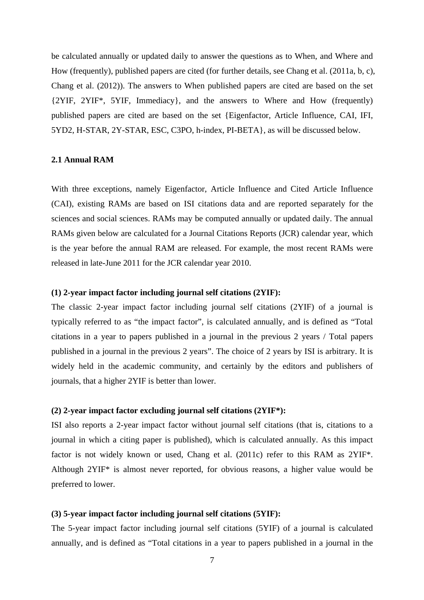be calculated annually or updated daily to answer the questions as to When, and Where and How (frequently), published papers are cited (for further details, see Chang et al. (2011a, b, c), Chang et al. (2012)). The answers to When published papers are cited are based on the set {2YIF, 2YIF\*, 5YIF, Immediacy}, and the answers to Where and How (frequently) published papers are cited are based on the set {Eigenfactor, Article Influence, CAI, IFI, 5YD2, H-STAR, 2Y-STAR, ESC, C3PO, h-index, PI-BETA}, as will be discussed below.

#### **2.1 Annual RAM**

With three exceptions, namely Eigenfactor, Article Influence and Cited Article Influence (CAI), existing RAMs are based on ISI citations data and are reported separately for the sciences and social sciences. RAMs may be computed annually or updated daily. The annual RAMs given below are calculated for a Journal Citations Reports (JCR) calendar year, which is the year before the annual RAM are released. For example, the most recent RAMs were released in late-June 2011 for the JCR calendar year 2010.

# **(1) 2-year impact factor including journal self citations (2YIF):**

The classic 2-year impact factor including journal self citations (2YIF) of a journal is typically referred to as "the impact factor", is calculated annually, and is defined as "Total citations in a year to papers published in a journal in the previous 2 years / Total papers published in a journal in the previous 2 years". The choice of 2 years by ISI is arbitrary. It is widely held in the academic community, and certainly by the editors and publishers of journals, that a higher 2YIF is better than lower.

## **(2) 2-year impact factor excluding journal self citations (2YIF\*):**

ISI also reports a 2-year impact factor without journal self citations (that is, citations to a journal in which a citing paper is published), which is calculated annually. As this impact factor is not widely known or used, Chang et al. (2011c) refer to this RAM as 2YIF\*. Although 2YIF\* is almost never reported, for obvious reasons, a higher value would be preferred to lower.

#### **(3) 5-year impact factor including journal self citations (5YIF):**

The 5-year impact factor including journal self citations (5YIF) of a journal is calculated annually, and is defined as "Total citations in a year to papers published in a journal in the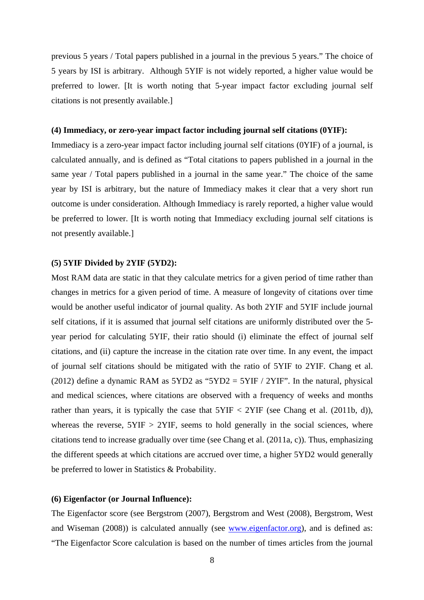previous 5 years / Total papers published in a journal in the previous 5 years." The choice of 5 years by ISI is arbitrary. Although 5YIF is not widely reported, a higher value would be preferred to lower. [It is worth noting that 5-year impact factor excluding journal self citations is not presently available.]

#### **(4) Immediacy, or zero-year impact factor including journal self citations (0YIF):**

Immediacy is a zero-year impact factor including journal self citations (0YIF) of a journal, is calculated annually, and is defined as "Total citations to papers published in a journal in the same year / Total papers published in a journal in the same year." The choice of the same year by ISI is arbitrary, but the nature of Immediacy makes it clear that a very short run outcome is under consideration. Although Immediacy is rarely reported, a higher value would be preferred to lower. [It is worth noting that Immediacy excluding journal self citations is not presently available.]

#### **(5) 5YIF Divided by 2YIF (5YD2):**

Most RAM data are static in that they calculate metrics for a given period of time rather than changes in metrics for a given period of time. A measure of longevity of citations over time would be another useful indicator of journal quality. As both 2YIF and 5YIF include journal self citations, if it is assumed that journal self citations are uniformly distributed over the 5 year period for calculating 5YIF, their ratio should (i) eliminate the effect of journal self citations, and (ii) capture the increase in the citation rate over time. In any event, the impact of journal self citations should be mitigated with the ratio of 5YIF to 2YIF. Chang et al. (2012) define a dynamic RAM as  $5YD2$  as " $5YD2 = 5YIF / 2YIF$ ". In the natural, physical and medical sciences, where citations are observed with a frequency of weeks and months rather than years, it is typically the case that  $5YIF < 2YIF$  (see Chang et al. (2011b, d)), whereas the reverse,  $5YIF > 2YIF$ , seems to hold generally in the social sciences, where citations tend to increase gradually over time (see Chang et al. (2011a, c)). Thus, emphasizing the different speeds at which citations are accrued over time, a higher 5YD2 would generally be preferred to lower in Statistics & Probability.

#### **(6) Eigenfactor (or Journal Influence):**

The Eigenfactor score (see Bergstrom (2007), Bergstrom and West (2008), Bergstrom, West and Wiseman (2008)) is calculated annually (see [www.eigenfactor.org\)](http://www.eigenfactor.org/), and is defined as: "The Eigenfactor Score calculation is based on the number of times articles from the journal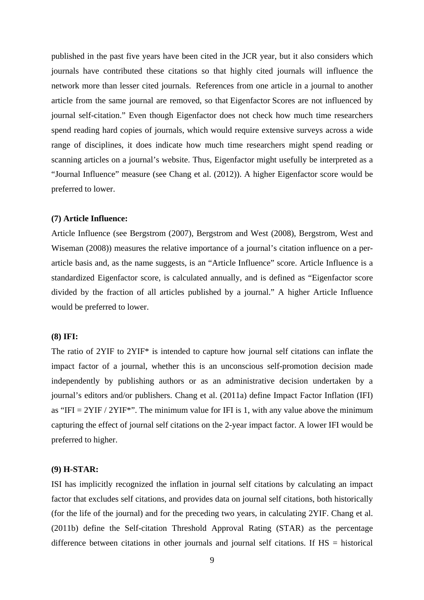published in the past five years have been cited in the JCR year, but it also considers which journals have contributed these citations so that highly cited journals will influence the network more than lesser cited journals. References from one article in a journal to another article from the same journal are removed, so that Eigenfactor Scores are not influenced by journal self-citation." Even though Eigenfactor does not check how much time researchers spend reading hard copies of journals, which would require extensive surveys across a wide range of disciplines, it does indicate how much time researchers might spend reading or scanning articles on a journal's website. Thus, Eigenfactor might usefully be interpreted as a "Journal Influence" measure (see Chang et al. (2012)). A higher Eigenfactor score would be preferred to lower.

#### **(7) Article Influence:**

Article Influence (see Bergstrom (2007), Bergstrom and West (2008), Bergstrom, West and Wiseman (2008)) measures the relative importance of a journal's citation influence on a perarticle basis and, as the name suggests, is an "Article Influence" score. Article Influence is a standardized Eigenfactor score, is calculated annually, and is defined as "Eigenfactor score divided by the fraction of all articles published by a journal." A higher Article Influence would be preferred to lower.

#### **(8) IFI:**

The ratio of 2YIF to 2YIF\* is intended to capture how journal self citations can inflate the impact factor of a journal, whether this is an unconscious self-promotion decision made independently by publishing authors or as an administrative decision undertaken by a journal's editors and/or publishers. Chang et al. (2011a) define Impact Factor Inflation (IFI) as "IFI =  $2YIF / 2YIF$ ". The minimum value for IFI is 1, with any value above the minimum capturing the effect of journal self citations on the 2-year impact factor. A lower IFI would be preferred to higher.

#### **(9) H-STAR:**

ISI has implicitly recognized the inflation in journal self citations by calculating an impact factor that excludes self citations, and provides data on journal self citations, both historically (for the life of the journal) and for the preceding two years, in calculating 2YIF. Chang et al. (2011b) define the Self-citation Threshold Approval Rating (STAR) as the percentage difference between citations in other journals and journal self citations. If HS = historical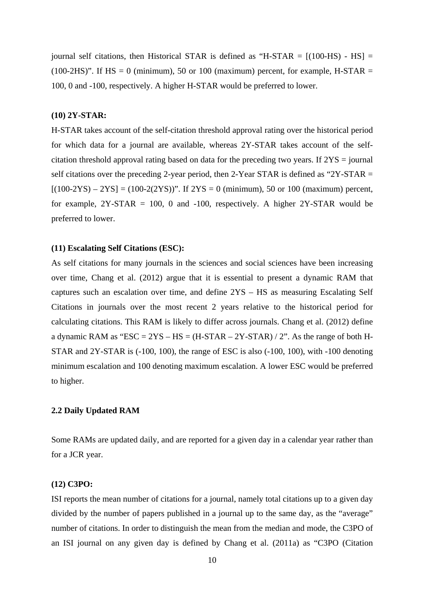journal self citations, then Historical STAR is defined as "H-STAR  $=$   $[(100-HS) - HS] =$ (100-2HS)". If  $HS = 0$  (minimum), 50 or 100 (maximum) percent, for example, H-STAR = 100, 0 and -100, respectively. A higher H-STAR would be preferred to lower.

#### **(10) 2Y-STAR:**

H-STAR takes account of the self-citation threshold approval rating over the historical period for which data for a journal are available, whereas 2Y-STAR takes account of the selfcitation threshold approval rating based on data for the preceding two years. If 2YS = journal self citations over the preceding 2-year period, then 2-Year STAR is defined as "2Y-STAR =  $[(100-2YS) - 2YS] = (100-2(2YS))$ ". If  $2YS = 0$  (minimum), 50 or 100 (maximum) percent, for example,  $2Y-STAR = 100$ , 0 and  $-100$ , respectively. A higher  $2Y-STAR$  would be preferred to lower.

#### **(11) Escalating Self Citations (ESC):**

As self citations for many journals in the sciences and social sciences have been increasing over time, Chang et al. (2012) argue that it is essential to present a dynamic RAM that captures such an escalation over time, and define 2YS – HS as measuring Escalating Self Citations in journals over the most recent 2 years relative to the historical period for calculating citations. This RAM is likely to differ across journals. Chang et al. (2012) define a dynamic RAM as "ESC =  $2YS - HS = (H-STAR - 2Y-STAR) / 2"$ . As the range of both H-STAR and 2Y-STAR is (-100, 100), the range of ESC is also (-100, 100), with -100 denoting minimum escalation and 100 denoting maximum escalation. A lower ESC would be preferred to higher.

#### **2.2 Daily Updated RAM**

Some RAMs are updated daily, and are reported for a given day in a calendar year rather than for a JCR year.

#### **(12) C3PO:**

ISI reports the mean number of citations for a journal, namely total citations up to a given day divided by the number of papers published in a journal up to the same day, as the "average" number of citations. In order to distinguish the mean from the median and mode, the C3PO of an ISI journal on any given day is defined by Chang et al. (2011a) as "C3PO (Citation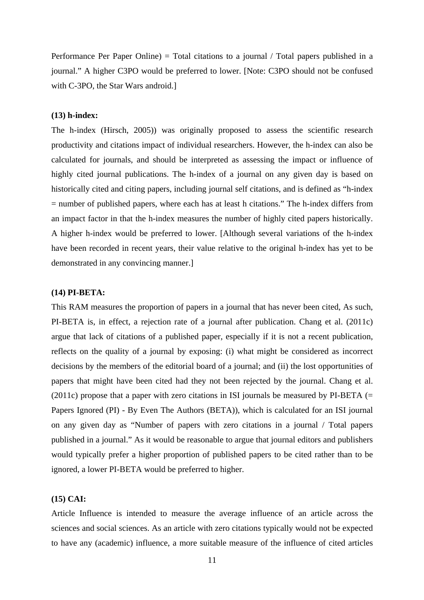Performance Per Paper Online) = Total citations to a journal / Total papers published in a journal." A higher C3PO would be preferred to lower. [Note: C3PO should not be confused with C-3PO, the Star Wars android.]

### **(13) h-index:**

The h-index (Hirsch, 2005)) was originally proposed to assess the scientific research productivity and citations impact of individual researchers. However, the h-index can also be calculated for journals, and should be interpreted as assessing the impact or influence of highly cited journal publications. The h-index of a journal on any given day is based on historically cited and citing papers, including journal self citations, and is defined as "h-index = number of published papers, where each has at least h citations." The h-index differs from an impact factor in that the h-index measures the number of highly cited papers historically. A higher h-index would be preferred to lower. [Although several variations of the h-index have been recorded in recent years, their value relative to the original h-index has yet to be demonstrated in any convincing manner.]

## **(14) PI-BETA:**

This RAM measures the proportion of papers in a journal that has never been cited, As such, PI-BETA is, in effect, a rejection rate of a journal after publication. Chang et al. (2011c) argue that lack of citations of a published paper, especially if it is not a recent publication, reflects on the quality of a journal by exposing: (i) what might be considered as incorrect decisions by the members of the editorial board of a journal; and (ii) the lost opportunities of papers that might have been cited had they not been rejected by the journal. Chang et al. (2011c) propose that a paper with zero citations in ISI journals be measured by PI-BETA  $(=$ Papers Ignored (PI) - By Even The Authors (BETA)), which is calculated for an ISI journal on any given day as "Number of papers with zero citations in a journal / Total papers published in a journal." As it would be reasonable to argue that journal editors and publishers would typically prefer a higher proportion of published papers to be cited rather than to be ignored, a lower PI-BETA would be preferred to higher.

#### **(15) CAI:**

Article Influence is intended to measure the average influence of an article across the sciences and social sciences. As an article with zero citations typically would not be expected to have any (academic) influence, a more suitable measure of the influence of cited articles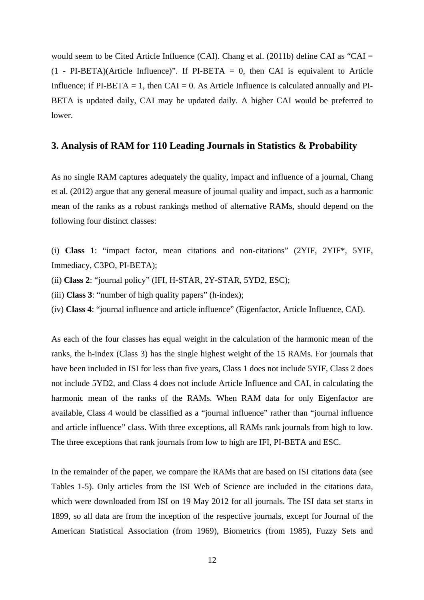would seem to be Cited Article Influence (CAI). Chang et al. (2011b) define CAI as "CAI =  $(1 - PI-BETA)(Article Influence)$ ". If PI-BETA = 0, then CAI is equivalent to Article Influence; if  $PI-BETA = 1$ , then  $CAI = 0$ . As Article Influence is calculated annually and  $PI$ -BETA is updated daily, CAI may be updated daily. A higher CAI would be preferred to lower.

# **3. Analysis of RAM for 110 Leading Journals in Statistics & Probability**

As no single RAM captures adequately the quality, impact and influence of a journal, Chang et al. (2012) argue that any general measure of journal quality and impact, such as a harmonic mean of the ranks as a robust rankings method of alternative RAMs, should depend on the following four distinct classes:

(i) **Class 1**: "impact factor, mean citations and non-citations" (2YIF, 2YIF\*, 5YIF, Immediacy, C3PO, PI-BETA);

(ii) **Class 2**: "journal policy" (IFI, H-STAR, 2Y-STAR, 5YD2, ESC);

(iii) **Class 3**: "number of high quality papers" (h-index);

(iv) **Class 4**: "journal influence and article influence" (Eigenfactor, Article Influence, CAI).

As each of the four classes has equal weight in the calculation of the harmonic mean of the ranks, the h-index (Class 3) has the single highest weight of the 15 RAMs. For journals that have been included in ISI for less than five years, Class 1 does not include 5YIF, Class 2 does not include 5YD2, and Class 4 does not include Article Influence and CAI, in calculating the harmonic mean of the ranks of the RAMs. When RAM data for only Eigenfactor are available, Class 4 would be classified as a "journal influence" rather than "journal influence and article influence" class. With three exceptions, all RAMs rank journals from high to low. The three exceptions that rank journals from low to high are IFI, PI-BETA and ESC.

In the remainder of the paper, we compare the RAMs that are based on ISI citations data (see Tables 1-5). Only articles from the ISI Web of Science are included in the citations data, which were downloaded from ISI on 19 May 2012 for all journals. The ISI data set starts in 1899, so all data are from the inception of the respective journals, except for Journal of the American Statistical Association (from 1969), Biometrics (from 1985), Fuzzy Sets and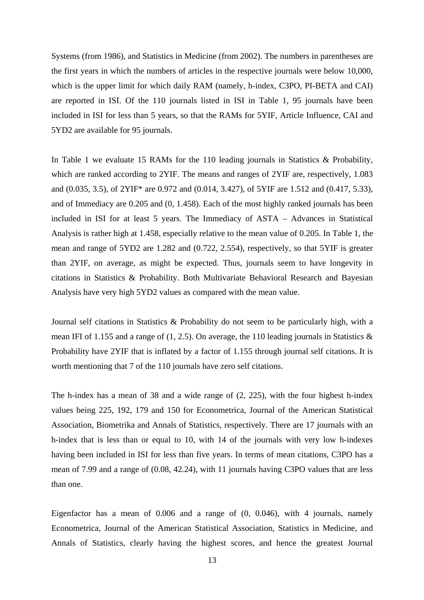Systems (from 1986), and Statistics in Medicine (from 2002). The numbers in parentheses are the first years in which the numbers of articles in the respective journals were below 10,000, which is the upper limit for which daily RAM (namely, h-index, C3PO, PI-BETA and CAI) are reported in ISI. Of the 110 journals listed in ISI in Table 1, 95 journals have been included in ISI for less than 5 years, so that the RAMs for 5YIF, Article Influence, CAI and 5YD2 are available for 95 journals.

In Table 1 we evaluate 15 RAMs for the 110 leading journals in Statistics & Probability, which are ranked according to 2YIF. The means and ranges of 2YIF are, respectively, 1.083 and (0.035, 3.5), of 2YIF\* are 0.972 and (0.014, 3.427), of 5YIF are 1.512 and (0.417, 5.33), and of Immediacy are 0.205 and (0, 1.458). Each of the most highly ranked journals has been included in ISI for at least 5 years. The Immediacy of ASTA – Advances in Statistical Analysis is rather high at 1.458, especially relative to the mean value of 0.205. In Table 1, the mean and range of 5YD2 are 1.282 and (0.722, 2.554), respectively, so that 5YIF is greater than 2YIF, on average, as might be expected. Thus, journals seem to have longevity in citations in Statistics & Probability. Both Multivariate Behavioral Research and Bayesian Analysis have very high 5YD2 values as compared with the mean value.

Journal self citations in Statistics & Probability do not seem to be particularly high, with a mean IFI of 1.155 and a range of  $(1, 2.5)$ . On average, the 110 leading journals in Statistics  $\&$ Probability have 2YIF that is inflated by a factor of 1.155 through journal self citations. It is worth mentioning that 7 of the 110 journals have zero self citations.

The h-index has a mean of 38 and a wide range of (2, 225), with the four highest h-index values being 225, 192, 179 and 150 for Econometrica, Journal of the American Statistical Association, Biometrika and Annals of Statistics, respectively. There are 17 journals with an h-index that is less than or equal to 10, with 14 of the journals with very low h-indexes having been included in ISI for less than five years. In terms of mean citations, C3PO has a mean of 7.99 and a range of (0.08, 42.24), with 11 journals having C3PO values that are less than one.

Eigenfactor has a mean of 0.006 and a range of (0, 0.046), with 4 journals, namely Econometrica, Journal of the American Statistical Association, Statistics in Medicine, and Annals of Statistics, clearly having the highest scores, and hence the greatest Journal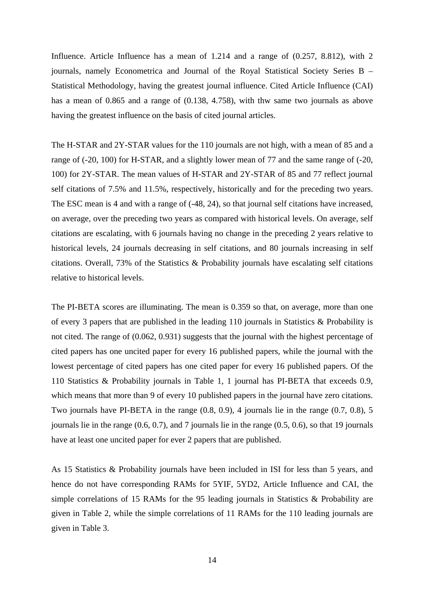Influence. Article Influence has a mean of 1.214 and a range of  $(0.257, 8.812)$ , with 2 journals, namely Econometrica and Journal of the Royal Statistical Society Series B – Statistical Methodology, having the greatest journal influence. Cited Article Influence (CAI) has a mean of 0.865 and a range of (0.138, 4.758), with thw same two journals as above having the greatest influence on the basis of cited journal articles.

The H-STAR and 2Y-STAR values for the 110 journals are not high, with a mean of 85 and a range of (-20, 100) for H-STAR, and a slightly lower mean of 77 and the same range of (-20, 100) for 2Y-STAR. The mean values of H-STAR and 2Y-STAR of 85 and 77 reflect journal self citations of 7.5% and 11.5%, respectively, historically and for the preceding two years. The ESC mean is 4 and with a range of (-48, 24), so that journal self citations have increased, on average, over the preceding two years as compared with historical levels. On average, self citations are escalating, with 6 journals having no change in the preceding 2 years relative to historical levels, 24 journals decreasing in self citations, and 80 journals increasing in self citations. Overall, 73% of the Statistics & Probability journals have escalating self citations relative to historical levels.

The PI-BETA scores are illuminating. The mean is 0.359 so that, on average, more than one of every 3 papers that are published in the leading 110 journals in Statistics & Probability is not cited. The range of (0.062, 0.931) suggests that the journal with the highest percentage of cited papers has one uncited paper for every 16 published papers, while the journal with the lowest percentage of cited papers has one cited paper for every 16 published papers. Of the 110 Statistics & Probability journals in Table 1, 1 journal has PI-BETA that exceeds 0.9, which means that more than 9 of every 10 published papers in the journal have zero citations. Two journals have PI-BETA in the range (0.8, 0.9), 4 journals lie in the range (0.7, 0.8), 5 journals lie in the range (0.6, 0.7), and 7 journals lie in the range (0.5, 0.6), so that 19 journals have at least one uncited paper for ever 2 papers that are published.

As 15 Statistics & Probability journals have been included in ISI for less than 5 years, and hence do not have corresponding RAMs for 5YIF, 5YD2, Article Influence and CAI, the simple correlations of 15 RAMs for the 95 leading journals in Statistics & Probability are given in Table 2, while the simple correlations of 11 RAMs for the 110 leading journals are given in Table 3.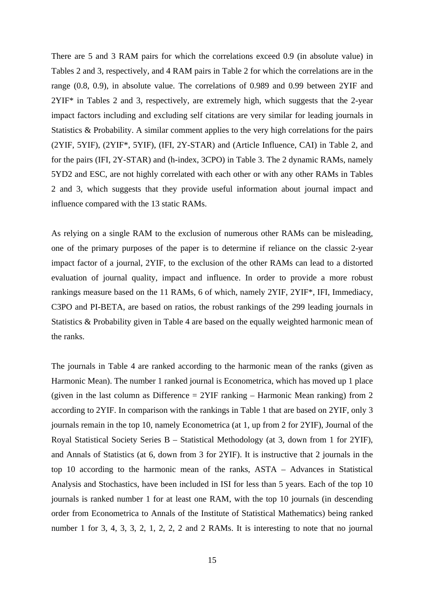There are 5 and 3 RAM pairs for which the correlations exceed 0.9 (in absolute value) in Tables 2 and 3, respectively, and 4 RAM pairs in Table 2 for which the correlations are in the range (0.8, 0.9), in absolute value. The correlations of 0.989 and 0.99 between 2YIF and 2YIF\* in Tables 2 and 3, respectively, are extremely high, which suggests that the 2-year impact factors including and excluding self citations are very similar for leading journals in Statistics & Probability. A similar comment applies to the very high correlations for the pairs (2YIF, 5YIF), (2YIF\*, 5YIF), (IFI, 2Y-STAR) and (Article Influence, CAI) in Table 2, and for the pairs (IFI, 2Y-STAR) and (h-index, 3CPO) in Table 3. The 2 dynamic RAMs, namely 5YD2 and ESC, are not highly correlated with each other or with any other RAMs in Tables 2 and 3, which suggests that they provide useful information about journal impact and influence compared with the 13 static RAMs.

As relying on a single RAM to the exclusion of numerous other RAMs can be misleading, one of the primary purposes of the paper is to determine if reliance on the classic 2-year impact factor of a journal, 2YIF, to the exclusion of the other RAMs can lead to a distorted evaluation of journal quality, impact and influence. In order to provide a more robust rankings measure based on the 11 RAMs, 6 of which, namely 2YIF, 2YIF\*, IFI, Immediacy, C3PO and PI-BETA, are based on ratios, the robust rankings of the 299 leading journals in Statistics & Probability given in Table 4 are based on the equally weighted harmonic mean of the ranks.

The journals in Table 4 are ranked according to the harmonic mean of the ranks (given as Harmonic Mean). The number 1 ranked journal is Econometrica, which has moved up 1 place (given in the last column as Difference  $= 2YIF$  ranking – Harmonic Mean ranking) from 2 according to 2YIF. In comparison with the rankings in Table 1 that are based on 2YIF, only 3 journals remain in the top 10, namely Econometrica (at 1, up from 2 for 2YIF), Journal of the Royal Statistical Society Series B – Statistical Methodology (at 3, down from 1 for 2YIF), and Annals of Statistics (at 6, down from 3 for 2YIF). It is instructive that 2 journals in the top 10 according to the harmonic mean of the ranks, ASTA – Advances in Statistical Analysis and Stochastics, have been included in ISI for less than 5 years. Each of the top 10 journals is ranked number 1 for at least one RAM, with the top 10 journals (in descending order from Econometrica to Annals of the Institute of Statistical Mathematics) being ranked number 1 for 3, 4, 3, 3, 2, 1, 2, 2, 2 and 2 RAMs. It is interesting to note that no journal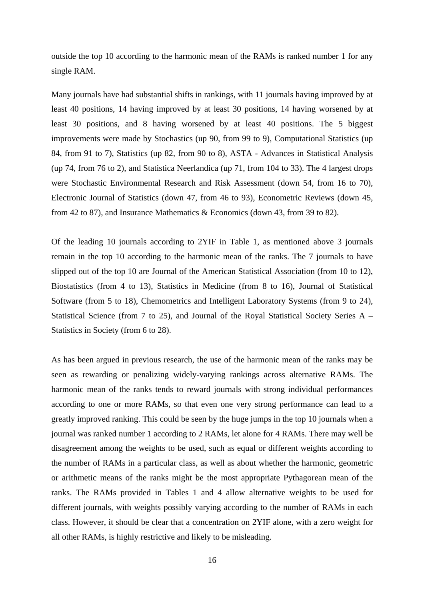outside the top 10 according to the harmonic mean of the RAMs is ranked number 1 for any single RAM.

Many journals have had substantial shifts in rankings, with 11 journals having improved by at least 40 positions, 14 having improved by at least 30 positions, 14 having worsened by at least 30 positions, and 8 having worsened by at least 40 positions. The 5 biggest improvements were made by Stochastics (up 90, from 99 to 9), Computational Statistics (up 84, from 91 to 7), Statistics (up 82, from 90 to 8), ASTA - Advances in Statistical Analysis (up 74, from 76 to 2), and Statistica Neerlandica (up 71, from 104 to 33). The 4 largest drops were Stochastic Environmental Research and Risk Assessment (down 54, from 16 to 70), Electronic Journal of Statistics (down 47, from 46 to 93), Econometric Reviews (down 45, from 42 to 87), and Insurance Mathematics & Economics (down 43, from 39 to 82).

Of the leading 10 journals according to 2YIF in Table 1, as mentioned above 3 journals remain in the top 10 according to the harmonic mean of the ranks. The 7 journals to have slipped out of the top 10 are Journal of the American Statistical Association (from 10 to 12), Biostatistics (from 4 to 13), Statistics in Medicine (from 8 to 16), Journal of Statistical Software (from 5 to 18), Chemometrics and Intelligent Laboratory Systems (from 9 to 24), Statistical Science (from 7 to 25), and Journal of the Royal Statistical Society Series A – Statistics in Society (from 6 to 28).

As has been argued in previous research, the use of the harmonic mean of the ranks may be seen as rewarding or penalizing widely-varying rankings across alternative RAMs. The harmonic mean of the ranks tends to reward journals with strong individual performances according to one or more RAMs, so that even one very strong performance can lead to a greatly improved ranking. This could be seen by the huge jumps in the top 10 journals when a journal was ranked number 1 according to 2 RAMs, let alone for 4 RAMs. There may well be disagreement among the weights to be used, such as equal or different weights according to the number of RAMs in a particular class, as well as about whether the harmonic, geometric or arithmetic means of the ranks might be the most appropriate Pythagorean mean of the ranks. The RAMs provided in Tables 1 and 4 allow alternative weights to be used for different journals, with weights possibly varying according to the number of RAMs in each class. However, it should be clear that a concentration on 2YIF alone, with a zero weight for all other RAMs, is highly restrictive and likely to be misleading.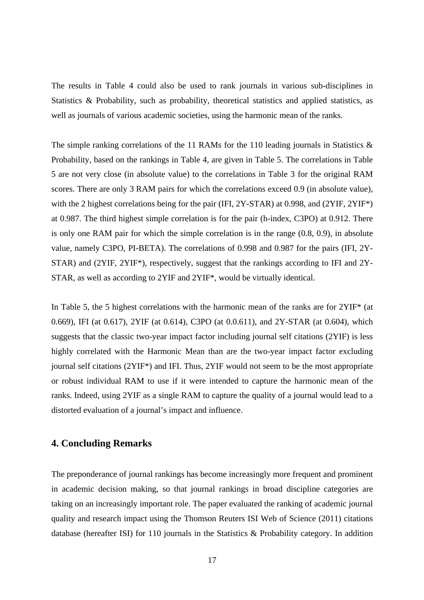The results in Table 4 could also be used to rank journals in various sub-disciplines in Statistics & Probability, such as probability, theoretical statistics and applied statistics, as well as journals of various academic societies, using the harmonic mean of the ranks.

The simple ranking correlations of the 11 RAMs for the 110 leading journals in Statistics & Probability, based on the rankings in Table 4, are given in Table 5. The correlations in Table 5 are not very close (in absolute value) to the correlations in Table 3 for the original RAM scores. There are only 3 RAM pairs for which the correlations exceed 0.9 (in absolute value), with the 2 highest correlations being for the pair (IFI, 2Y-STAR) at 0.998, and (2YIF, 2YIF<sup>\*</sup>) at 0.987. The third highest simple correlation is for the pair (h-index, C3PO) at 0.912. There is only one RAM pair for which the simple correlation is in the range (0.8, 0.9), in absolute value, namely C3PO, PI-BETA). The correlations of 0.998 and 0.987 for the pairs (IFI, 2Y-STAR) and (2YIF, 2YIF\*), respectively, suggest that the rankings according to IFI and 2Y-STAR, as well as according to 2YIF and 2YIF\*, would be virtually identical.

In Table 5, the 5 highest correlations with the harmonic mean of the ranks are for 2YIF\* (at 0.669), IFI (at 0.617), 2YIF (at 0.614), C3PO (at 0.0.611), and 2Y-STAR (at 0.604), which suggests that the classic two-year impact factor including journal self citations (2YIF) is less highly correlated with the Harmonic Mean than are the two-year impact factor excluding journal self citations (2YIF\*) and IFI. Thus, 2YIF would not seem to be the most appropriate or robust individual RAM to use if it were intended to capture the harmonic mean of the ranks. Indeed, using 2YIF as a single RAM to capture the quality of a journal would lead to a distorted evaluation of a journal's impact and influence.

# **4. Concluding Remarks**

The preponderance of journal rankings has become increasingly more frequent and prominent in academic decision making, so that journal rankings in broad discipline categories are taking on an increasingly important role. The paper evaluated the ranking of academic journal quality and research impact using the Thomson Reuters ISI Web of Science (2011) citations database (hereafter ISI) for 110 journals in the Statistics & Probability category. In addition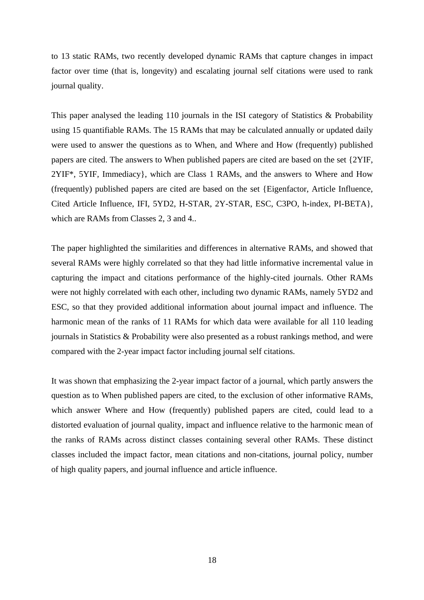to 13 static RAMs, two recently developed dynamic RAMs that capture changes in impact factor over time (that is, longevity) and escalating journal self citations were used to rank journal quality.

This paper analysed the leading 110 journals in the ISI category of Statistics & Probability using 15 quantifiable RAMs. The 15 RAMs that may be calculated annually or updated daily were used to answer the questions as to When, and Where and How (frequently) published papers are cited. The answers to When published papers are cited are based on the set {2YIF, 2YIF\*, 5YIF, Immediacy}, which are Class 1 RAMs, and the answers to Where and How (frequently) published papers are cited are based on the set {Eigenfactor, Article Influence, Cited Article Influence, IFI, 5YD2, H-STAR, 2Y-STAR, ESC, C3PO, h-index, PI-BETA}, which are RAMs from Classes 2, 3 and 4..

The paper highlighted the similarities and differences in alternative RAMs, and showed that several RAMs were highly correlated so that they had little informative incremental value in capturing the impact and citations performance of the highly-cited journals. Other RAMs were not highly correlated with each other, including two dynamic RAMs, namely 5YD2 and ESC, so that they provided additional information about journal impact and influence. The harmonic mean of the ranks of 11 RAMs for which data were available for all 110 leading journals in Statistics & Probability were also presented as a robust rankings method, and were compared with the 2-year impact factor including journal self citations.

It was shown that emphasizing the 2-year impact factor of a journal, which partly answers the question as to When published papers are cited, to the exclusion of other informative RAMs, which answer Where and How (frequently) published papers are cited, could lead to a distorted evaluation of journal quality, impact and influence relative to the harmonic mean of the ranks of RAMs across distinct classes containing several other RAMs. These distinct classes included the impact factor, mean citations and non-citations, journal policy, number of high quality papers, and journal influence and article influence.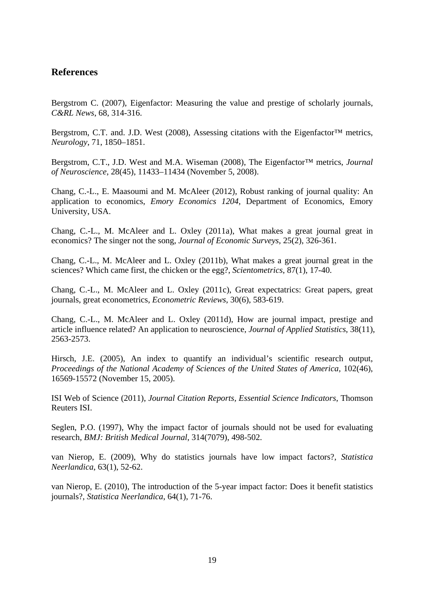# **References**

Bergstrom C. (2007), Eigenfactor: Measuring the value and prestige of scholarly journals, *C&RL News*, 68, 314-316.

Bergstrom, C.T. and. J.D. West (2008), Assessing citations with the Eigenfactor<sup>™</sup> metrics, *Neurology*, 71, 1850–1851.

Bergstrom, C.T., J.D. West and M.A. Wiseman (2008), The Eigenfactor™ metrics, *Journal of Neuroscience*, 28(45), 11433–11434 (November 5, 2008).

Chang, C.-L., E. Maasoumi and M. McAleer (2012), Robust ranking of journal quality: An application to economics, *Emory Economics 1204*, Department of Economics, Emory University, USA.

Chang, C.-L., M. McAleer and L. Oxley (2011a), What makes a great journal great in economics? The singer not the song, *Journal of Economic Surveys*, 25(2), 326-361.

Chang, C.-L., M. McAleer and L. Oxley (2011b), What makes a great journal great in the sciences? Which came first, the chicken or the egg?, *Scientometrics*, 87(1), 17-40.

Chang, C.-L., M. McAleer and L. Oxley (2011c), Great expectatrics: Great papers, great journals, great econometrics, *Econometric Reviews*, 30(6), 583-619.

Chang, C.-L., M. McAleer and L. Oxley (2011d), How are journal impact, prestige and article influence related? An application to neuroscience, *Journal of Applied Statistics*, 38(11), 2563-2573.

Hirsch, J.E. (2005), An index to quantify an individual's scientific research output, *Proceedings of the National Academy of Sciences of the United States of America, 102(46),* 16569-15572 (November 15, 2005).

ISI Web of Science (2011), *Journal Citation Reports, Essential Science Indicators*, Thomson Reuters ISI.

Seglen, P.O. (1997), Why the impact factor of journals should not be used for evaluating research, *BMJ: British Medical Journal*, 314(7079), 498-502.

van Nierop, E. (2009), Why do statistics journals have low impact factors?, *Statistica Neerlandica*, 63(1), 52-62.

van Nierop, E. (2010), [The introduction of the 5-year impact factor: Does it benefit statistics](http://onlinelibrary.wiley.com/doi/10.1111/j.1467-9574.2009.00448.x/abstract)  [journals?](http://onlinelibrary.wiley.com/doi/10.1111/j.1467-9574.2009.00448.x/abstract), *Statistica Neerlandica*, 64(1), 71-76.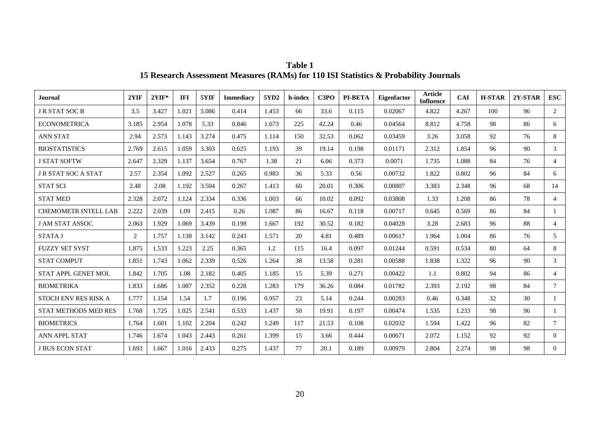| <b>Journal</b>              | 2YIF           | $2YIF*$ | <b>IFI</b> | 5YIF  | <b>Immediacy</b> | 5YD2  | h-index | C3PO  | <b>PI-BETA</b> | Eigenfactor | <b>Article</b><br><b>Influence</b> | <b>CAI</b> | <b>H-STAR</b> | $2Y-STAR$ | <b>ESC</b>     |
|-----------------------------|----------------|---------|------------|-------|------------------|-------|---------|-------|----------------|-------------|------------------------------------|------------|---------------|-----------|----------------|
| <b>J R STAT SOC B</b>       | 3.5            | 3.427   | 1.021      | 5.086 | 0.414            | 1.453 | 66      | 33.6  | 0.115          | 0.02067     | 4.822                              | 4.267      | 100           | 96        | 2              |
| <b>ECONOMETRICA</b>         | 3.185          | 2.954   | 1.078      | 5.33  | 0.846            | 1.673 | 225     | 42.24 | 0.46           | 0.04564     | 8.812                              | 4.758      | 98            | 86        | 6              |
| <b>ANN STAT</b>             | 2.94           | 2.573   | 1.143      | 3.274 | 0.475            | 1.114 | 150     | 32.53 | 0.062          | 0.03459     | 3.26                               | 3.058      | 92            | 76        | 8              |
| <b>BIOSTATISTICS</b>        | 2.769          | 2.615   | 1.059      | 3.303 | 0.625            | 1.193 | 39      | 19.14 | 0.198          | 0.01171     | 2.312                              | 1.854      | 96            | 90        | 3              |
| <b>J STAT SOFTW</b>         | 2.647          | 2.329   | 1.137      | 3.654 | 0.767            | 1.38  | 21      | 6.06  | 0.373          | 0.0071      | 1.735                              | 1.088      | 84            | 76        | $\overline{4}$ |
| <b>JR STAT SOC A STAT</b>   | 2.57           | 2.354   | 1.092      | 2.527 | 0.265            | 0.983 | 36      | 5.33  | 0.56           | 0.00732     | 1.822                              | 0.802      | 96            | 84        | 6              |
| <b>STAT SCI</b>             | 2.48           | 2.08    | 1.192      | 3.504 | 0.267            | 1.413 | 60      | 20.01 | 0.306          | 0.00807     | 3.383                              | 2.348      | 96            | 68        | 14             |
| <b>STAT MED</b>             | 2.328          | 2.072   | 1.124      | 2.334 | 0.336            | 1.003 | 66      | 10.02 | 0.092          | 0.03808     | 1.33                               | 1.208      | 86            | 78        | $\overline{4}$ |
| <b>CHEMOMETR INTELL LAB</b> | 2.222          | 2.039   | 1.09       | 2.415 | 0.26             | 1.087 | 86      | 16.67 | 0.118          | 0.00717     | 0.645                              | 0.569      | 86            | 84        |                |
| <b>J AM STAT ASSOC</b>      | 2.063          | 1.929   | 1.069      | 3.439 | 0.198            | 1.667 | 192     | 30.52 | 0.182          | 0.04028     | 3.28                               | 2.683      | 96            | 88        | $\overline{4}$ |
| <b>STATA J</b>              | $\overline{2}$ | 1.757   | 1.138      | 3.142 | 0.243            | 1.571 | 20      | 4.81  | 0.489          | 0.00617     | 1.964                              | 1.004      | 86            | 76        | 5              |
| <b>FUZZY SET SYST</b>       | 1.875          | 1.533   | 1.223      | 2.25  | 0.365            | 1.2   | 115     | 16.4  | 0.097          | 0.01244     | 0.591                              | 0.534      | 80            | 64        | 8              |
| <b>STAT COMPUT</b>          | 1.851          | 1.743   | 1.062      | 2.339 | 0.526            | 1.264 | 38      | 13.58 | 0.281          | 0.00588     | 1.838                              | 1.322      | 96            | 90        | 3              |
| <b>STAT APPL GENET MOL</b>  | 1.842          | 1.705   | 1.08       | 2.182 | 0.405            | 1.185 | 15      | 5.39  | 0.271          | 0.00422     | 1.1                                | 0.802      | 94            | 86        | $\overline{4}$ |
| <b>BIOMETRIKA</b>           | 1.833          | 1.686   | 1.087      | 2.352 | 0.228            | 1.283 | 179     | 36.26 | 0.084          | 0.01782     | 2.393                              | 2.192      | 98            | 84        | $\tau$         |
| <b>STOCH ENV RES RISK A</b> | 1.777          | 1.154   | 1.54       | 1.7   | 0.196            | 0.957 | 23      | 5.14  | 0.244          | 0.00283     | 0.46                               | 0.348      | 32            | 30        |                |
| <b>STAT METHODS MED RES</b> | 1.768          | 1.725   | 1.025      | 2.541 | 0.533            | 1.437 | 50      | 19.91 | 0.197          | 0.00474     | 1.535                              | 1.233      | 98            | 96        | -1             |
| <b>BIOMETRICS</b>           | 1.764          | 1.601   | 1.102      | 2.204 | 0.242            | 1.249 | 117     | 21.53 | 0.108          | 0.02032     | 1.594                              | 1.422      | 96            | 82        | $\tau$         |
| ANN APPL STAT               | 1.746          | 1.674   | 1.043      | 2.443 | 0.261            | 1.399 | 15      | 3.66  | 0.444          | 0.00671     | 2.072                              | 1.152      | 92            | 92        | $\overline{0}$ |
| <b>J BUS ECON STAT</b>      | 1.693          | 1.667   | 1.016      | 2.433 | 0.275            | 1.437 | 77      | 20.1  | 0.189          | 0.00979     | 2.804                              | 2.274      | 98            | 98        | $\overline{0}$ |

**Table 1 15 Research Assessment Measures (RAMs) for 110 ISI Statistics & Probability Journals**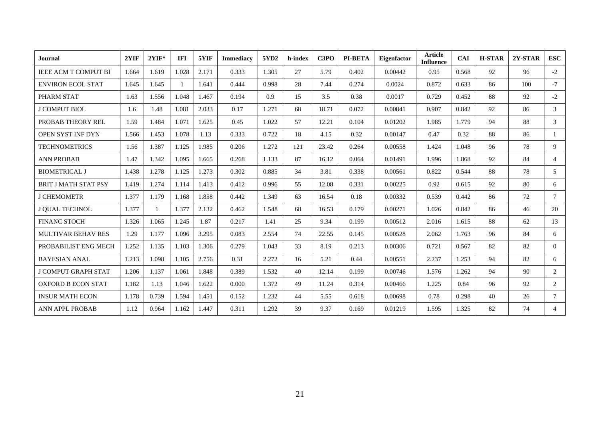| Journal                     | 2YIF  | $2YIF*$ | <b>IFI</b> | 5YIF  | <b>Immediacy</b> | 5YD2  | h-index | C3PO  | <b>PI-BETA</b> | <b>Eigenfactor</b> | <b>Article</b><br><b>Influence</b> | <b>CAI</b> | <b>H-STAR</b> | 2Y-STAR | <b>ESC</b>     |
|-----------------------------|-------|---------|------------|-------|------------------|-------|---------|-------|----------------|--------------------|------------------------------------|------------|---------------|---------|----------------|
| <b>IEEE ACM T COMPUT BI</b> | 1.664 | 1.619   | 1.028      | 2.171 | 0.333            | 1.305 | 27      | 5.79  | 0.402          | 0.00442            | 0.95                               | 0.568      | 92            | 96      | $-2$           |
| <b>ENVIRON ECOL STAT</b>    | 1.645 | 1.645   |            | 1.641 | 0.444            | 0.998 | 28      | 7.44  | 0.274          | 0.0024             | 0.872                              | 0.633      | 86            | 100     | $-7$           |
| PHARM STAT                  | 1.63  | 1.556   | 1.048      | 1.467 | 0.194            | 0.9   | 15      | 3.5   | 0.38           | 0.0017             | 0.729                              | 0.452      | 88            | 92      | $-2$           |
| <b>J COMPUT BIOL</b>        | 1.6   | 1.48    | 1.081      | 2.033 | 0.17             | 1.271 | 68      | 18.71 | 0.072          | 0.00841            | 0.907                              | 0.842      | 92            | 86      | 3              |
| PROBAB THEORY REL           | 1.59  | 1.484   | 1.071      | 1.625 | 0.45             | 1.022 | 57      | 12.21 | 0.104          | 0.01202            | 1.985                              | 1.779      | 94            | 88      | 3              |
| OPEN SYST INF DYN           | 1.566 | 1.453   | 1.078      | 1.13  | 0.333            | 0.722 | 18      | 4.15  | 0.32           | 0.00147            | 0.47                               | 0.32       | 88            | 86      | $\mathbf{1}$   |
| <b>TECHNOMETRICS</b>        | 1.56  | 1.387   | 1.125      | 1.985 | 0.206            | 1.272 | 121     | 23.42 | 0.264          | 0.00558            | 1.424                              | 1.048      | 96            | 78      | 9              |
| <b>ANN PROBAB</b>           | 1.47  | 1.342   | 1.095      | 1.665 | 0.268            | 1.133 | 87      | 16.12 | 0.064          | 0.01491            | 1.996                              | 1.868      | 92            | 84      | $\overline{4}$ |
| <b>BIOMETRICAL J</b>        | 1.438 | 1.278   | 1.125      | 1.273 | 0.302            | 0.885 | 34      | 3.81  | 0.338          | 0.00561            | 0.822                              | 0.544      | 88            | 78      | 5              |
| <b>BRIT J MATH STAT PSY</b> | 1.419 | 1.274   | 1.114      | 1.413 | 0.412            | 0.996 | 55      | 12.08 | 0.331          | 0.00225            | 0.92                               | 0.615      | 92            | 80      | 6              |
| <b>J CHEMOMETR</b>          | 1.377 | 1.179   | 1.168      | 1.858 | 0.442            | 1.349 | 63      | 16.54 | 0.18           | 0.00332            | 0.539                              | 0.442      | 86            | 72      | $\tau$         |
| J QUAL TECHNOL              | 1.377 |         | 1.377      | 2.132 | 0.462            | 1.548 | 68      | 16.53 | 0.179          | 0.00271            | 1.026                              | 0.842      | 86            | 46      | 20             |
| <b>FINANC STOCH</b>         | 1.326 | 1.065   | 1.245      | 1.87  | 0.217            | 1.41  | 25      | 9.34  | 0.199          | 0.00512            | 2.016                              | 1.615      | 88            | 62      | 13             |
| MULTIVAR BEHAV RES          | 1.29  | 1.177   | 1.096      | 3.295 | 0.083            | 2.554 | 74      | 22.55 | 0.145          | 0.00528            | 2.062                              | 1.763      | 96            | 84      | 6              |
| PROBABILIST ENG MECH        | 1.252 | 1.135   | 1.103      | 1.306 | 0.279            | 1.043 | 33      | 8.19  | 0.213          | 0.00306            | 0.721                              | 0.567      | 82            | 82      | $\Omega$       |
| <b>BAYESIAN ANAL</b>        | 1.213 | 1.098   | 1.105      | 2.756 | 0.31             | 2.272 | 16      | 5.21  | 0.44           | 0.00551            | 2.237                              | 1.253      | 94            | 82      | 6              |
| <b>J COMPUT GRAPH STAT</b>  | 1.206 | 1.137   | 1.061      | 1.848 | 0.389            | 1.532 | 40      | 12.14 | 0.199          | 0.00746            | 1.576                              | 1.262      | 94            | 90      | $\overline{2}$ |
| <b>OXFORD B ECON STAT</b>   | 1.182 | 1.13    | 1.046      | 1.622 | 0.000            | 1.372 | 49      | 11.24 | 0.314          | 0.00466            | 1.225                              | 0.84       | 96            | 92      | 2              |
| <b>INSUR MATH ECON</b>      | 1.178 | 0.739   | 1.594      | 1.451 | 0.152            | 1.232 | 44      | 5.55  | 0.618          | 0.00698            | 0.78                               | 0.298      | 40            | 26      | $\tau$         |
| <b>ANN APPL PROBAB</b>      | 1.12  | 0.964   | 1.162      | 1.447 | 0.311            | 1.292 | 39      | 9.37  | 0.169          | 0.01219            | 1.595                              | 1.325      | 82            | 74      | $\overline{4}$ |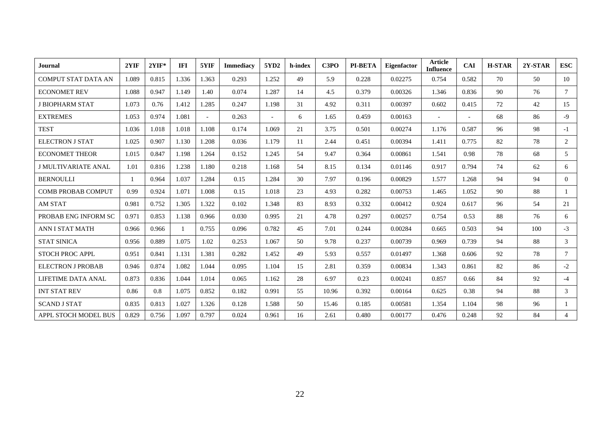| Journal                     | 2YIF  | $2YIF*$ | <b>IFI</b> | 5YIF   | <b>Immediacy</b> | 5YD2           | h-index | C3PO  | <b>PI-BETA</b> | Eigenfactor | <b>Article</b><br><b>Influence</b> | <b>CAI</b> | <b>H-STAR</b> | 2Y-STAR | <b>ESC</b>     |
|-----------------------------|-------|---------|------------|--------|------------------|----------------|---------|-------|----------------|-------------|------------------------------------|------------|---------------|---------|----------------|
| <b>COMPUT STAT DATA AN</b>  | 1.089 | 0.815   | 1.336      | 1.363  | 0.293            | 1.252          | 49      | 5.9   | 0.228          | 0.02275     | 0.754                              | 0.582      | 70            | 50      | 10             |
| <b>ECONOMET REV</b>         | 1.088 | 0.947   | 1.149      | 1.40   | 0.074            | 1.287          | 14      | 4.5   | 0.379          | 0.00326     | 1.346                              | 0.836      | 90            | 76      | $\tau$         |
| <b>J BIOPHARM STAT</b>      | 1.073 | 0.76    | 1.412      | 1.285  | 0.247            | 1.198          | 31      | 4.92  | 0.311          | 0.00397     | 0.602                              | 0.415      | 72            | 42      | 15             |
| <b>EXTREMES</b>             | 1.053 | 0.974   | 1.081      | $\sim$ | 0.263            | $\overline{a}$ | 6       | 1.65  | 0.459          | 0.00163     | $\overline{\phantom{a}}$           |            | 68            | 86      | $-9$           |
| <b>TEST</b>                 | 1.036 | 1.018   | 1.018      | 1.108  | 0.174            | 1.069          | 21      | 3.75  | 0.501          | 0.00274     | 1.176                              | 0.587      | 96            | 98      | $-1$           |
| <b>ELECTRON J STAT</b>      | 1.025 | 0.907   | 1.130      | 1.208  | 0.036            | 1.179          | 11      | 2.44  | 0.451          | 0.00394     | 1.411                              | 0.775      | 82            | 78      | $\overline{2}$ |
| <b>ECONOMET THEOR</b>       | 1.015 | 0.847   | 1.198      | 1.264  | 0.152            | 1.245          | 54      | 9.47  | 0.364          | 0.00861     | 1.541                              | 0.98       | 78            | 68      | $\overline{5}$ |
| <b>J MULTIVARIATE ANAL</b>  | 1.01  | 0.816   | 1.238      | 1.180  | 0.218            | 1.168          | 54      | 8.15  | 0.134          | 0.01146     | 0.917                              | 0.794      | 74            | 62      | 6              |
| <b>BERNOULLI</b>            |       | 0.964   | 1.037      | 1.284  | 0.15             | 1.284          | 30      | 7.97  | 0.196          | 0.00829     | 1.577                              | 1.268      | 94            | 94      | $\theta$       |
| <b>COMB PROBAB COMPUT</b>   | 0.99  | 0.924   | 1.071      | 1.008  | 0.15             | 1.018          | 23      | 4.93  | 0.282          | 0.00753     | 1.465                              | 1.052      | 90            | 88      | $\mathbf{1}$   |
| <b>AM STAT</b>              | 0.981 | 0.752   | 1.305      | 1.322  | 0.102            | 1.348          | 83      | 8.93  | 0.332          | 0.00412     | 0.924                              | 0.617      | 96            | 54      | 21             |
| PROBAB ENG INFORM SC        | 0.971 | 0.853   | 1.138      | 0.966  | 0.030            | 0.995          | 21      | 4.78  | 0.297          | 0.00257     | 0.754                              | 0.53       | 88            | 76      | 6              |
| <b>ANN I STAT MATH</b>      | 0.966 | 0.966   |            | 0.755  | 0.096            | 0.782          | 45      | 7.01  | 0.244          | 0.00284     | 0.665                              | 0.503      | 94            | 100     | $-3$           |
| <b>STAT SINICA</b>          | 0.956 | 0.889   | 1.075      | 1.02   | 0.253            | 1.067          | 50      | 9.78  | 0.237          | 0.00739     | 0.969                              | 0.739      | 94            | 88      | 3              |
| <b>STOCH PROC APPL</b>      | 0.951 | 0.841   | 1.131      | 1.381  | 0.282            | 1.452          | 49      | 5.93  | 0.557          | 0.01497     | 1.368                              | 0.606      | 92            | 78      | $\tau$         |
| <b>ELECTRON J PROBAB</b>    | 0.946 | 0.874   | 1.082      | 1.044  | 0.095            | 1.104          | 15      | 2.81  | 0.359          | 0.00834     | 1.343                              | 0.861      | 82            | 86      | $-2$           |
| LIFETIME DATA ANAL          | 0.873 | 0.836   | 1.044      | 1.014  | 0.065            | 1.162          | 28      | 6.97  | 0.23           | 0.00241     | 0.857                              | 0.66       | 84            | 92      | $-4$           |
| <b>INT STAT REV</b>         | 0.86  | 0.8     | 1.075      | 0.852  | 0.182            | 0.991          | 55      | 10.96 | 0.392          | 0.00164     | 0.625                              | 0.38       | 94            | 88      | 3              |
| <b>SCAND J STAT</b>         | 0.835 | 0.813   | 1.027      | 1.326  | 0.128            | 1.588          | 50      | 15.46 | 0.185          | 0.00581     | 1.354                              | 1.104      | 98            | 96      | -1             |
| <b>APPL STOCH MODEL BUS</b> | 0.829 | 0.756   | 1.097      | 0.797  | 0.024            | 0.961          | 16      | 2.61  | 0.480          | 0.00177     | 0.476                              | 0.248      | 92            | 84      | $\overline{4}$ |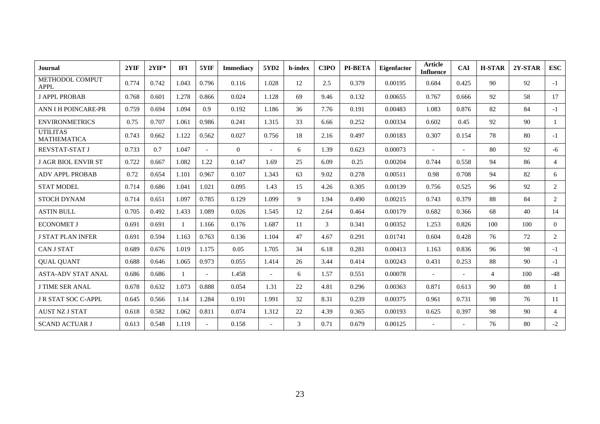| Journal                               | 2YIF  | $2YIF*$ | <b>IFI</b> | 5YIF           | <b>Immediacy</b> | 5YD2                     | h-index | C3PO | PI-BETA | <b>Eigenfactor</b> | <b>Article</b><br><b>Influence</b> | <b>CAI</b>               | <b>H-STAR</b>  | 2Y-STAR | <b>ESC</b>     |
|---------------------------------------|-------|---------|------------|----------------|------------------|--------------------------|---------|------|---------|--------------------|------------------------------------|--------------------------|----------------|---------|----------------|
| METHODOL COMPUT<br><b>APPL</b>        | 0.774 | 0.742   | 1.043      | 0.796          | 0.116            | 1.028                    | 12      | 2.5  | 0.379   | 0.00195            | 0.684                              | 0.425                    | 90             | 92      | $-1$           |
| <b>J APPL PROBAB</b>                  | 0.768 | 0.601   | 1.278      | 0.866          | 0.024            | 1.128                    | 69      | 9.46 | 0.132   | 0.00655            | 0.767                              | 0.666                    | 92             | 58      | 17             |
| ANN I H POINCARE-PR                   | 0.759 | 0.694   | 1.094      | 0.9            | 0.192            | 1.186                    | 36      | 7.76 | 0.191   | 0.00483            | 1.083                              | 0.876                    | 82             | 84      | $-1$           |
| <b>ENVIRONMETRICS</b>                 | 0.75  | 0.707   | 1.061      | 0.986          | 0.241            | 1.315                    | 33      | 6.66 | 0.252   | 0.00334            | 0.602                              | 0.45                     | 92             | 90      | $\mathbf{1}$   |
| <b>UTILITAS</b><br><b>MATHEMATICA</b> | 0.743 | 0.662   | 1.122      | 0.562          | 0.027            | 0.756                    | 18      | 2.16 | 0.497   | 0.00183            | 0.307                              | 0.154                    | 78             | 80      | $-1$           |
| <b>REVSTAT-STAT J</b>                 | 0.733 | 0.7     | 1.047      | $\overline{a}$ | $\theta$         | $\overline{\phantom{a}}$ | 6       | 1.39 | 0.623   | 0.00073            |                                    | $\overline{\phantom{a}}$ | 80             | 92      | -6             |
| <b>J AGR BIOL ENVIR ST</b>            | 0.722 | 0.667   | 1.082      | 1.22           | 0.147            | 1.69                     | 25      | 6.09 | 0.25    | 0.00204            | 0.744                              | 0.558                    | 94             | 86      | $\overline{4}$ |
| <b>ADV APPL PROBAB</b>                | 0.72  | 0.654   | 1.101      | 0.967          | 0.107            | 1.343                    | 63      | 9.02 | 0.278   | 0.00511            | 0.98                               | 0.708                    | 94             | 82      | 6              |
| <b>STAT MODEL</b>                     | 0.714 | 0.686   | 1.041      | 1.021          | 0.095            | 1.43                     | 15      | 4.26 | 0.305   | 0.00139            | 0.756                              | 0.525                    | 96             | 92      | $\overline{2}$ |
| <b>STOCH DYNAM</b>                    | 0.714 | 0.651   | 1.097      | 0.785          | 0.129            | 1.099                    | 9       | 1.94 | 0.490   | 0.00215            | 0.743                              | 0.379                    | 88             | 84      | $\overline{2}$ |
| <b>ASTIN BULL</b>                     | 0.705 | 0.492   | 1.433      | 1.089          | 0.026            | 1.545                    | 12      | 2.64 | 0.464   | 0.00179            | 0.682                              | 0.366                    | 68             | 40      | 14             |
| <b>ECONOMET J</b>                     | 0.691 | 0.691   |            | 1.166          | 0.176            | 1.687                    | 11      | 3    | 0.341   | 0.00352            | 1.253                              | 0.826                    | 100            | 100     | $\Omega$       |
| <b>J STAT PLAN INFER</b>              | 0.691 | 0.594   | 1.163      | 0.763          | 0.136            | 1.104                    | 47      | 4.67 | 0.291   | 0.01741            | 0.604                              | 0.428                    | 76             | 72      | 2              |
| <b>CAN J STAT</b>                     | 0.689 | 0.676   | 1.019      | 1.175          | 0.05             | 1.705                    | 34      | 6.18 | 0.281   | 0.00413            | 1.163                              | 0.836                    | 96             | 98      | $-1$           |
| <b>QUAL QUANT</b>                     | 0.688 | 0.646   | 1.065      | 0.973          | 0.055            | 1.414                    | 26      | 3.44 | 0.414   | 0.00243            | 0.431                              | 0.253                    | 88             | 90      | $-1$           |
| <b>ASTA-ADV STAT ANAL</b>             | 0.686 | 0.686   |            |                | 1.458            |                          | 6       | 1.57 | 0.551   | 0.00078            | $\overline{\phantom{a}}$           |                          | $\overline{4}$ | 100     | $-48$          |
| <b>J TIME SER ANAL</b>                | 0.678 | 0.632   | 1.073      | 0.888          | 0.054            | 1.31                     | 22      | 4.81 | 0.296   | 0.00363            | 0.871                              | 0.613                    | 90             | 88      | $\mathbf{1}$   |
| <b>J R STAT SOC C-APPL</b>            | 0.645 | 0.566   | 1.14       | 1.284          | 0.191            | 1.991                    | 32      | 8.31 | 0.239   | 0.00375            | 0.961                              | 0.731                    | 98             | 76      | 11             |
| <b>AUST NZ J STAT</b>                 | 0.618 | 0.582   | 1.062      | 0.811          | 0.074            | 1.312                    | 22      | 4.39 | 0.365   | 0.00193            | 0.625                              | 0.397                    | 98             | 90      | $\overline{4}$ |
| <b>SCAND ACTUAR J</b>                 | 0.613 | 0.548   | 1.119      | $\equiv$       | 0.158            |                          | 3       | 0.71 | 0.679   | 0.00125            | $\overline{\phantom{a}}$           |                          | 76             | 80      | $-2$           |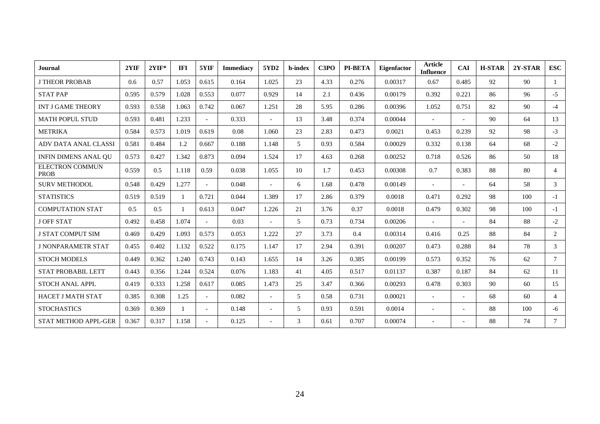| <b>Journal</b>                        | 2YIF  | $2YIF*$ | <b>IFI</b> | 5YIF                     | <b>Immediacy</b> | 5YD2           | h-index | C3PO | <b>PI-BETA</b> | <b>Eigenfactor</b> | <b>Article</b><br><b>Influence</b> | <b>CAI</b>               | <b>H-STAR</b> | 2Y-STAR | <b>ESC</b>      |
|---------------------------------------|-------|---------|------------|--------------------------|------------------|----------------|---------|------|----------------|--------------------|------------------------------------|--------------------------|---------------|---------|-----------------|
| <b>J THEOR PROBAB</b>                 | 0.6   | 0.57    | 1.053      | 0.615                    | 0.164            | 1.025          | 23      | 4.33 | 0.276          | 0.00317            | 0.67                               | 0.485                    | 92            | 90      | $\mathbf{1}$    |
| <b>STAT PAP</b>                       | 0.595 | 0.579   | 1.028      | 0.553                    | 0.077            | 0.929          | 14      | 2.1  | 0.436          | 0.00179            | 0.392                              | 0.221                    | 86            | 96      | $-5$            |
| <b>INT J GAME THEORY</b>              | 0.593 | 0.558   | 1.063      | 0.742                    | 0.067            | 1.251          | 28      | 5.95 | 0.286          | 0.00396            | 1.052                              | 0.751                    | 82            | 90      | $-4$            |
| <b>MATH POPUL STUD</b>                | 0.593 | 0.481   | 1.233      | $\overline{\phantom{a}}$ | 0.333            | $\sim$         | 13      | 3.48 | 0.374          | 0.00044            |                                    |                          | 90            | 64      | 13              |
| <b>METRIKA</b>                        | 0.584 | 0.573   | 1.019      | 0.619                    | 0.08             | 1.060          | 23      | 2.83 | 0.473          | 0.0021             | 0.453                              | 0.239                    | 92            | 98      | $-3$            |
| ADV DATA ANAL CLASSI                  | 0.581 | 0.484   | 1.2        | 0.667                    | 0.188            | 1.148          | 5       | 0.93 | 0.584          | 0.00029            | 0.332                              | 0.138                    | 64            | 68      | $-2$            |
| <b>INFIN DIMENS ANAL OU</b>           | 0.573 | 0.427   | 1.342      | 0.873                    | 0.094            | 1.524          | 17      | 4.63 | 0.268          | 0.00252            | 0.718                              | 0.526                    | 86            | 50      | 18              |
| <b>ELECTRON COMMUN</b><br><b>PROB</b> | 0.559 | 0.5     | 1.118      | 0.59                     | 0.038            | 1.055          | 10      | 1.7  | 0.453          | 0.00308            | 0.7                                | 0.383                    | 88            | 80      | $\overline{4}$  |
| <b>SURV METHODOL</b>                  | 0.548 | 0.429   | 1.277      | $\sim$                   | 0.048            | $\sim$         | 6       | 1.68 | 0.478          | 0.00149            | $\overline{\phantom{a}}$           |                          | 64            | 58      | 3               |
| <b>STATISTICS</b>                     | 0.519 | 0.519   |            | 0.721                    | 0.044            | 1.389          | 17      | 2.86 | 0.379          | 0.0018             | 0.471                              | 0.292                    | 98            | 100     | $-1$            |
| <b>COMPUTATION STAT</b>               | 0.5   | 0.5     |            | 0.613                    | 0.047            | 1.226          | 21      | 3.76 | 0.37           | 0.0018             | 0.479                              | 0.302                    | 98            | 100     | $-1$            |
| <b>J OFF STAT</b>                     | 0.492 | 0.458   | 1.074      |                          | 0.03             |                | 5       | 0.73 | 0.734          | 0.00206            |                                    |                          | 84            | 88      | $-2$            |
| <b>J STAT COMPUT SIM</b>              | 0.469 | 0.429   | 1.093      | 0.573                    | 0.053            | 1.222          | 27      | 3.73 | 0.4            | 0.00314            | 0.416                              | 0.25                     | 88            | 84      | 2               |
| <b>J NONPARAMETR STAT</b>             | 0.455 | 0.402   | 1.132      | 0.522                    | 0.175            | 1.147          | 17      | 2.94 | 0.391          | 0.00207            | 0.473                              | 0.288                    | 84            | 78      | 3               |
| <b>STOCH MODELS</b>                   | 0.449 | 0.362   | 1.240      | 0.743                    | 0.143            | 1.655          | 14      | 3.26 | 0.385          | 0.00199            | 0.573                              | 0.352                    | 76            | 62      | $\overline{7}$  |
| <b>STAT PROBABIL LETT</b>             | 0.443 | 0.356   | 1.244      | 0.524                    | 0.076            | 1.183          | 41      | 4.05 | 0.517          | 0.01137            | 0.387                              | 0.187                    | 84            | 62      | 11              |
| <b>STOCH ANAL APPL</b>                | 0.419 | 0.333   | 1.258      | 0.617                    | 0.085            | 1.473          | 25      | 3.47 | 0.366          | 0.00293            | 0.478                              | 0.303                    | 90            | 60      | 15              |
| <b>HACET J MATH STAT</b>              | 0.385 | 0.308   | 1.25       | $\overline{a}$           | 0.082            | $\overline{a}$ | 5       | 0.58 | 0.731          | 0.00021            | $\overline{\phantom{a}}$           |                          | 68            | 60      | $\overline{4}$  |
| <b>STOCHASTICS</b>                    | 0.369 | 0.369   |            | $\sim$                   | 0.148            | $\sim$         | 5       | 0.93 | 0.591          | 0.0014             | $\overline{\phantom{a}}$           | $\overline{\phantom{a}}$ | 88            | 100     | -6              |
| <b>STAT METHOD APPL-GER</b>           | 0.367 | 0.317   | 1.158      |                          | 0.125            |                | 3       | 0.61 | 0.707          | 0.00074            |                                    |                          | 88            | 74      | $7\overline{ }$ |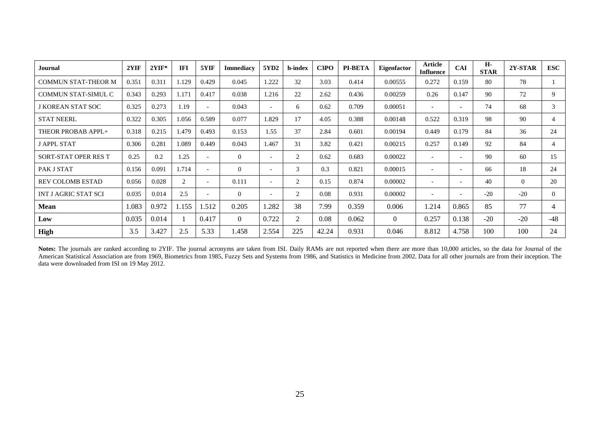| Journal                     | 2YIF  | $2YIF*$ | <b>IFI</b> | 5YIF                     | <b>Immediacy</b> | 5YD2                     | h-index        | C <sub>3</sub> P <sub>O</sub> | <b>PI-BETA</b> | Eigenfactor    | Article<br><b>Influence</b> | <b>CAI</b>               | H-<br><b>STAR</b> | 2Y-STAR  | <b>ESC</b> |
|-----------------------------|-------|---------|------------|--------------------------|------------------|--------------------------|----------------|-------------------------------|----------------|----------------|-----------------------------|--------------------------|-------------------|----------|------------|
| <b>COMMUN STAT-THEOR M</b>  | 0.351 | 0.311   | 1.129      | 0.429                    | 0.045            | .222                     | 32             | 3.03                          | 0.414          | 0.00555        | 0.272                       | 0.159                    | 80                | 78       |            |
| <b>COMMUN STAT-SIMUL C</b>  | 0.343 | 0.293   | 1.171      | 0.417                    | 0.038            | 1.216                    | 22             | 2.62                          | 0.436          | 0.00259        | 0.26                        | 0.147                    | 90                | 72       | 9          |
| J KOREAN STAT SOC           | 0.325 | 0.273   | 1.19       | $\overline{\phantom{a}}$ | 0.043            |                          | 6              | 0.62                          | 0.709          | 0.00051        | $\overline{\phantom{a}}$    | $\overline{\phantom{a}}$ | 74                | 68       | 3          |
| <b>STAT NEERL</b>           | 0.322 | 0.305   | 1.056      | 0.589                    | 0.077            | 1.829                    | 17             | 4.05                          | 0.388          | 0.00148        | 0.522                       | 0.319                    | 98                | 90       | 4          |
| THEOR PROBAB APPL+          | 0.318 | 0.215   | 1.479      | 0.493                    | 0.153            | 1.55                     | 37             | 2.84                          | 0.601          | 0.00194        | 0.449                       | 0.179                    | 84                | 36       | 24         |
| <b>J APPL STAT</b>          | 0.306 | 0.281   | 1.089      | 0.449                    | 0.043            | 1.467                    | 31             | 3.82                          | 0.421          | 0.00215        | 0.257                       | 0.149                    | 92                | 84       | 4          |
| SORT-STAT OPER RES T        | 0.25  | 0.2     | 1.25       | $\overline{\phantom{a}}$ | $\theta$         | $\overline{\phantom{0}}$ | 2              | 0.62                          | 0.683          | 0.00022        | $\overline{\phantom{a}}$    | $\overline{\phantom{a}}$ | 90                | 60       | 15         |
| PAK J STAT                  | 0.156 | 0.091   | 1.714      | $\overline{\phantom{a}}$ | $\Omega$         |                          | 3              | 0.3                           | 0.821          | 0.00015        |                             | $\overline{\phantom{0}}$ | 66                | 18       | 24         |
| <b>REV COLOMB ESTAD</b>     | 0.056 | 0.028   | 2          | $\overline{\phantom{a}}$ | 0.111            |                          | 2              | 0.15                          | 0.874          | 0.00002        | $\overline{\phantom{0}}$    | $\overline{\phantom{0}}$ | 40                | $\theta$ | 20         |
| <b>INT J AGRIC STAT SCI</b> | 0.035 | 0.014   | 2.5        | $\overline{\phantom{a}}$ | $\Omega$         | $\overline{\phantom{0}}$ | 2              | 0.08                          | 0.931          | 0.00002        | $\overline{\phantom{a}}$    | $\overline{\phantom{a}}$ | $-20$             | $-20$    | $\Omega$   |
| <b>Mean</b>                 | 1.083 | 0.972   | 1.155      | 1.512                    | 0.205            | 1.282                    | 38             | 7.99                          | 0.359          | 0.006          | 1.214                       | 0.865                    | 85                | 77       | 4          |
| Low                         | 0.035 | 0.014   |            | 0.417                    | $\theta$         | 0.722                    | $\overline{2}$ | 0.08                          | 0.062          | $\overline{0}$ | 0.257                       | 0.138                    | $-20$             | $-20$    | $-48$      |
| <b>High</b>                 | 3.5   | 3.427   | 2.5        | 5.33                     | 1.458            | 2.554                    | 225            | 42.24                         | 0.931          | 0.046          | 8.812                       | 4.758                    | 100               | 100      | 24         |

**Notes:** The journals are ranked according to 2YIF. The journal acronyms are taken from ISI. Daily RAMs are not reported when there are more than 10,000 articles, so the data for Journal of the American Statistical Association are from 1969, Biometrics from 1985, Fuzzy Sets and Systems from 1986, and Statistics in Medicine from 2002. Data for all other journals are from their inception. The data were downloaded from ISI on 19 May 2012.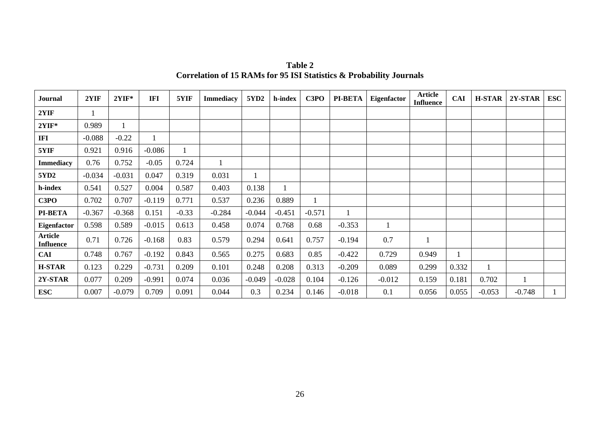| <b>Journal</b>                     | 2YIF     | $2YIF*$  | <b>IFI</b> | 5YIF    | <b>Immediacy</b> | 5YD2     | h-index  | C3PO     | <b>PI-BETA</b> | Eigenfactor | Article<br><b>Influence</b> | <b>CAI</b> | <b>H-STAR</b> | 2Y-STAR  | <b>ESC</b> |
|------------------------------------|----------|----------|------------|---------|------------------|----------|----------|----------|----------------|-------------|-----------------------------|------------|---------------|----------|------------|
| 2YIF                               |          |          |            |         |                  |          |          |          |                |             |                             |            |               |          |            |
| $2YIF*$                            | 0.989    |          |            |         |                  |          |          |          |                |             |                             |            |               |          |            |
| IFI                                | $-0.088$ | $-0.22$  |            |         |                  |          |          |          |                |             |                             |            |               |          |            |
| 5YIF                               | 0.921    | 0.916    | $-0.086$   |         |                  |          |          |          |                |             |                             |            |               |          |            |
| <b>Immediacy</b>                   | 0.76     | 0.752    | $-0.05$    | 0.724   |                  |          |          |          |                |             |                             |            |               |          |            |
| 5YD <sub>2</sub>                   | $-0.034$ | $-0.031$ | 0.047      | 0.319   | 0.031            |          |          |          |                |             |                             |            |               |          |            |
| h-index                            | 0.541    | 0.527    | 0.004      | 0.587   | 0.403            | 0.138    |          |          |                |             |                             |            |               |          |            |
| C3PO                               | 0.702    | 0.707    | $-0.119$   | 0.771   | 0.537            | 0.236    | 0.889    |          |                |             |                             |            |               |          |            |
| <b>PI-BETA</b>                     | $-0.367$ | $-0.368$ | 0.151      | $-0.33$ | $-0.284$         | $-0.044$ | $-0.451$ | $-0.571$ | 1              |             |                             |            |               |          |            |
| Eigenfactor                        | 0.598    | 0.589    | $-0.015$   | 0.613   | 0.458            | 0.074    | 0.768    | 0.68     | $-0.353$       |             |                             |            |               |          |            |
| <b>Article</b><br><b>Influence</b> | 0.71     | 0.726    | $-0.168$   | 0.83    | 0.579            | 0.294    | 0.641    | 0.757    | $-0.194$       | 0.7         |                             |            |               |          |            |
| <b>CAI</b>                         | 0.748    | 0.767    | $-0.192$   | 0.843   | 0.565            | 0.275    | 0.683    | 0.85     | $-0.422$       | 0.729       | 0.949                       |            |               |          |            |
| <b>H-STAR</b>                      | 0.123    | 0.229    | $-0.731$   | 0.209   | 0.101            | 0.248    | 0.208    | 0.313    | $-0.209$       | 0.089       | 0.299                       | 0.332      |               |          |            |
| 2Y-STAR                            | 0.077    | 0.209    | $-0.991$   | 0.074   | 0.036            | $-0.049$ | $-0.028$ | 0.104    | $-0.126$       | $-0.012$    | 0.159                       | 0.181      | 0.702         |          |            |
| <b>ESC</b>                         | 0.007    | $-0.079$ | 0.709      | 0.091   | 0.044            | 0.3      | 0.234    | 0.146    | $-0.018$       | 0.1         | 0.056                       | 0.055      | $-0.053$      | $-0.748$ |            |

**Table 2 Correlation of 15 RAMs for 95 ISI Statistics & Probability Journals**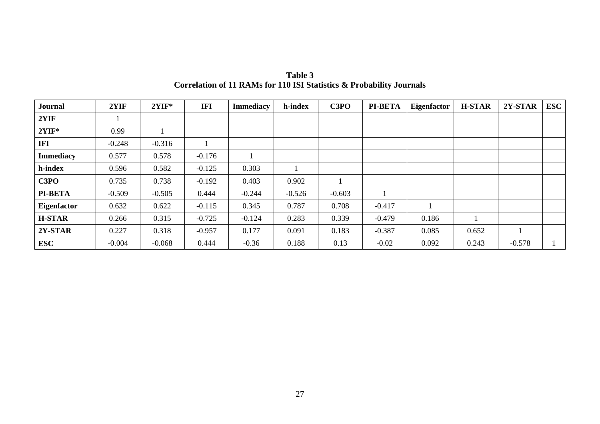| <b>Journal</b>   | 2YIF     | $2YIF*$  | IFI      | <b>Immediacy</b> | h-index  | C3PO     | <b>PI-BETA</b> | Eigenfactor | <b>H-STAR</b> | 2Y-STAR  | <b>ESC</b> |
|------------------|----------|----------|----------|------------------|----------|----------|----------------|-------------|---------------|----------|------------|
| 2YIF             |          |          |          |                  |          |          |                |             |               |          |            |
| $2YIF*$          | 0.99     |          |          |                  |          |          |                |             |               |          |            |
| <b>IFI</b>       | $-0.248$ | $-0.316$ |          |                  |          |          |                |             |               |          |            |
| <b>Immediacy</b> | 0.577    | 0.578    | $-0.176$ |                  |          |          |                |             |               |          |            |
| h-index          | 0.596    | 0.582    | $-0.125$ | 0.303            |          |          |                |             |               |          |            |
| C3PO             | 0.735    | 0.738    | $-0.192$ | 0.403            | 0.902    |          |                |             |               |          |            |
| <b>PI-BETA</b>   | $-0.509$ | $-0.505$ | 0.444    | $-0.244$         | $-0.526$ | $-0.603$ |                |             |               |          |            |
| Eigenfactor      | 0.632    | 0.622    | $-0.115$ | 0.345            | 0.787    | 0.708    | $-0.417$       |             |               |          |            |
| <b>H-STAR</b>    | 0.266    | 0.315    | $-0.725$ | $-0.124$         | 0.283    | 0.339    | $-0.479$       | 0.186       |               |          |            |
| 2Y-STAR          | 0.227    | 0.318    | $-0.957$ | 0.177            | 0.091    | 0.183    | $-0.387$       | 0.085       | 0.652         |          |            |
| <b>ESC</b>       | $-0.004$ | $-0.068$ | 0.444    | $-0.36$          | 0.188    | 0.13     | $-0.02$        | 0.092       | 0.243         | $-0.578$ |            |

**Table 3 Correlation of 11 RAMs for 110 ISI Statistics & Probability Journals**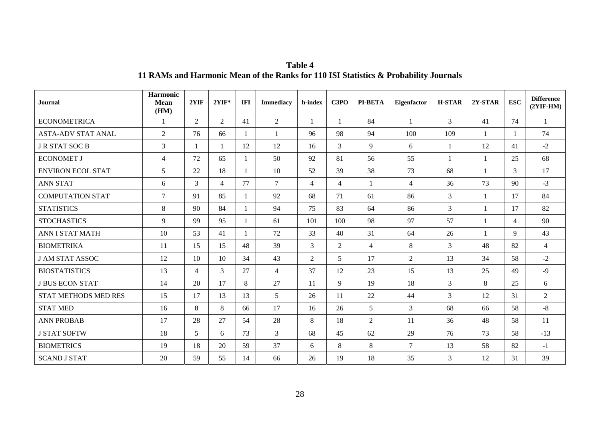| <b>Journal</b>              | <b>Harmonic</b><br><b>Mean</b><br>(HM) | 2YIF           | $2YIF*$        | <b>IFI</b> | <b>Immediacy</b> | h-index        | C3PO           | <b>PI-BETA</b> | Eigenfactor    | <b>H-STAR</b>  | 2Y-STAR      | <b>ESC</b>     | <b>Difference</b><br>$(2YIF-HM)$ |
|-----------------------------|----------------------------------------|----------------|----------------|------------|------------------|----------------|----------------|----------------|----------------|----------------|--------------|----------------|----------------------------------|
| <b>ECONOMETRICA</b>         |                                        | 2              | 2              | 41         | $\overline{2}$   |                |                | 84             | $\mathbf{1}$   | $\overline{3}$ | 41           | 74             | $\mathbf{1}$                     |
| <b>ASTA-ADV STAT ANAL</b>   | $\overline{2}$                         | 76             | 66             | -1         | 1                | 96             | 98             | 94             | 100            | 109            | $\mathbf{1}$ |                | 74                               |
| <b>J R STAT SOC B</b>       | 3                                      |                | $\mathbf{1}$   | 12         | 12               | 16             | 3              | 9              | 6              | 1              | 12           | 41             | $-2$                             |
| <b>ECONOMET J</b>           | 4                                      | 72             | 65             |            | 50               | 92             | 81             | 56             | 55             | $\mathbf{1}$   | $\mathbf{1}$ | 25             | 68                               |
| <b>ENVIRON ECOL STAT</b>    | 5                                      | 22             | 18             |            | 10               | 52             | 39             | 38             | 73             | 68             |              | 3              | 17                               |
| <b>ANN STAT</b>             | 6                                      | 3              | $\overline{4}$ | 77         | $\overline{7}$   | $\overline{4}$ | $\overline{4}$ | $\mathbf{1}$   | $\overline{4}$ | 36             | 73           | 90             | $-3$                             |
| <b>COMPUTATION STAT</b>     | 7                                      | 91             | 85             |            | 92               | 68             | 71             | 61             | 86             | $\overline{3}$ | $\mathbf{1}$ | 17             | 84                               |
| <b>STATISTICS</b>           | 8                                      | 90             | 84             |            | 94               | 75             | 83             | 64             | 86             | $\overline{3}$ | $\mathbf{1}$ | 17             | 82                               |
| <b>STOCHASTICS</b>          | 9                                      | 99             | 95             |            | 61               | 101            | 100            | 98             | 97             | 57             | $\mathbf{1}$ | $\overline{4}$ | 90                               |
| <b>ANN I STAT MATH</b>      | 10                                     | 53             | 41             |            | 72               | 33             | 40             | 31             | 64             | 26             | $\mathbf{1}$ | $\mathbf Q$    | 43                               |
| <b>BIOMETRIKA</b>           | 11                                     | 15             | 15             | 48         | 39               | 3              | $\overline{2}$ | $\overline{4}$ | 8              | $\overline{3}$ | 48           | 82             | $\overline{4}$                   |
| <b>J AM STAT ASSOC</b>      | 12                                     | 10             | 10             | 34         | 43               | 2              | 5              | 17             | $\overline{2}$ | 13             | 34           | 58             | $-2$                             |
| <b>BIOSTATISTICS</b>        | 13                                     | $\overline{4}$ | 3              | 27         | $\overline{4}$   | 37             | 12             | 23             | 15             | 13             | 25           | 49             | $-9$                             |
| <b>J BUS ECON STAT</b>      | 14                                     | 20             | 17             | 8          | 27               | 11             | 9              | 19             | 18             | $\overline{3}$ | 8            | 25             | 6                                |
| <b>STAT METHODS MED RES</b> | 15                                     | 17             | 13             | 13         | 5                | 26             | 11             | 22             | 44             | $\overline{3}$ | 12           | 31             | $\overline{2}$                   |
| <b>STAT MED</b>             | 16                                     | 8              | $8\phantom{.}$ | 66         | 17               | 16             | 26             | 5              | $\overline{3}$ | 68             | 66           | 58             | $-8$                             |
| <b>ANN PROBAB</b>           | 17                                     | 28             | 27             | 54         | 28               | 8              | 18             | 2              | 11             | 36             | 48           | 58             | 11                               |
| <b>J STAT SOFTW</b>         | 18                                     | 5              | 6              | 73         | $\overline{3}$   | 68             | 45             | 62             | 29             | 76             | 73           | 58             | $-13$                            |
| <b>BIOMETRICS</b>           | 19                                     | 18             | 20             | 59         | 37               | 6              | 8              | 8              | $\tau$         | 13             | 58           | 82             | $-1$                             |
| <b>SCAND J STAT</b>         | 20                                     | 59             | 55             | 14         | 66               | 26             | 19             | 18             | 35             | $\overline{3}$ | 12           | 31             | 39                               |

# **Table 4 11 RAMs and Harmonic Mean of the Ranks for 110 ISI Statistics & Probability Journals**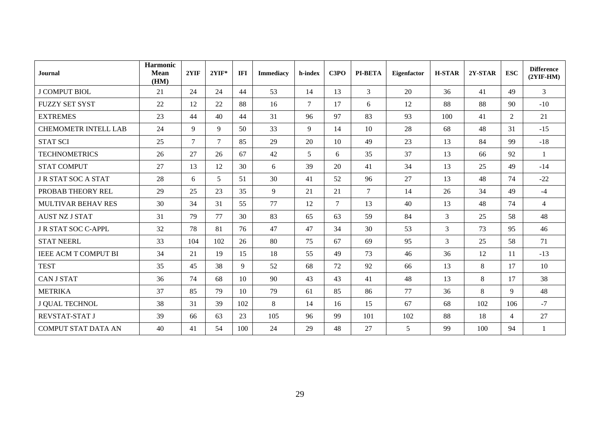| <b>Journal</b>              | Harmonic<br><b>Mean</b><br>(HM) | 2YIF           | $2YIF*$        | <b>IFI</b>      | <b>Immediacy</b> | h-index | C3PO           | <b>PI-BETA</b> | <b>Eigenfactor</b> | <b>H-STAR</b>  | 2Y-STAR | <b>ESC</b>     | <b>Difference</b><br>$(2YIF-HM)$ |
|-----------------------------|---------------------------------|----------------|----------------|-----------------|------------------|---------|----------------|----------------|--------------------|----------------|---------|----------------|----------------------------------|
| <b>J COMPUT BIOL</b>        | 21                              | 24             | 24             | 44              | 53               | 14      | 13             | 3              | 20                 | 36             | 41      | 49             | 3                                |
| <b>FUZZY SET SYST</b>       | 22                              | 12             | 22             | 88              | 16               | $\tau$  | 17             | 6              | 12                 | 88             | 88      | 90             | $-10$                            |
| <b>EXTREMES</b>             | 23                              | 44             | 40             | 44              | 31               | 96      | 97             | 83             | 93                 | 100            | 41      | $\overline{2}$ | 21                               |
| <b>CHEMOMETR INTELL LAB</b> | 24                              | 9              | 9              | 50              | 33               | 9       | 14             | 10             | 28                 | 68             | 48      | 31             | $-15$                            |
| <b>STAT SCI</b>             | 25                              | $\overline{7}$ | $\tau$         | 85              | 29               | 20      | 10             | 49             | 23                 | 13             | 84      | 99             | $-18$                            |
| <b>TECHNOMETRICS</b>        | 26                              | 27             | 26             | 67              | 42               | 5       | 6              | 35             | 37                 | 13             | 66      | 92             | $\mathbf{1}$                     |
| <b>STAT COMPUT</b>          | 27                              | 13             | 12             | 30              | 6                | 39      | 20             | 41             | 34                 | 13             | 25      | 49             | $-14$                            |
| <b>J R STAT SOC A STAT</b>  | 28                              | 6              | $\mathfrak{S}$ | 51              | 30               | 41      | 52             | 96             | 27                 | 13             | 48      | 74             | $-22$                            |
| PROBAB THEORY REL           | 29                              | 25             | 23             | 35              | 9                | 21      | 21             | $\tau$         | 14                 | 26             | 34      | 49             | $-4$                             |
| <b>MULTIVAR BEHAV RES</b>   | 30                              | 34             | 31             | 55              | 77               | 12      | $\overline{7}$ | 13             | 40                 | 13             | 48      | 74             | $\overline{4}$                   |
| <b>AUST NZ J STAT</b>       | 31                              | 79             | 77             | 30              | 83               | 65      | 63             | 59             | 84                 | $\overline{3}$ | 25      | 58             | 48                               |
| J R STAT SOC C-APPL         | 32                              | 78             | 81             | 76              | 47               | 47      | 34             | 30             | 53                 | $\mathfrak{Z}$ | 73      | 95             | 46                               |
| <b>STAT NEERL</b>           | 33                              | 104            | 102            | 26              | 80               | 75      | 67             | 69             | 95                 | 3              | 25      | 58             | 71                               |
| <b>IEEE ACM T COMPUT BI</b> | 34                              | 21             | 19             | 15              | 18               | 55      | 49             | 73             | 46                 | 36             | 12      | 11             | $-13$                            |
| <b>TEST</b>                 | 35                              | 45             | 38             | 9               | 52               | 68      | 72             | 92             | 66                 | 13             | 8       | 17             | 10                               |
| <b>CAN J STAT</b>           | 36                              | 74             | 68             | 10 <sup>1</sup> | 90               | 43      | 43             | 41             | 48                 | 13             | 8       | 17             | 38                               |
| <b>METRIKA</b>              | 37                              | 85             | 79             | 10              | 79               | 61      | 85             | 86             | 77                 | 36             | 8       | 9              | 48                               |
| J QUAL TECHNOL              | 38                              | 31             | 39             | 102             | 8                | 14      | 16             | 15             | 67                 | 68             | 102     | 106            | $-7$                             |
| REVSTAT-STAT J              | 39                              | 66             | 63             | 23              | 105              | 96      | 99             | 101            | 102                | 88             | 18      | $\overline{4}$ | 27                               |
| <b>COMPUT STAT DATA AN</b>  | 40                              | 41             | 54             | 100             | 24               | 29      | 48             | 27             | 5                  | 99             | 100     | 94             | $\mathbf{1}$                     |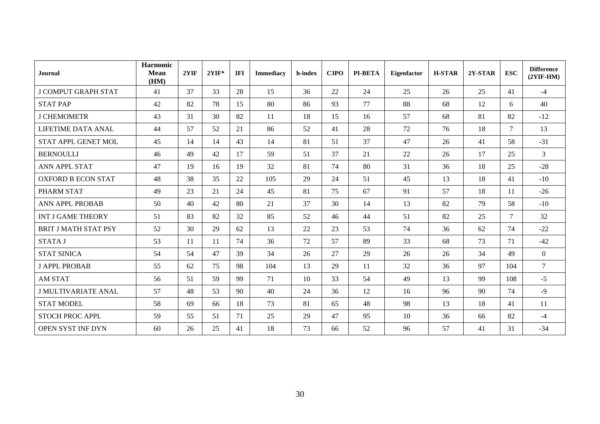| <b>Journal</b>              | <b>Harmonic</b><br><b>Mean</b><br>(HM) | 2YIF | $2YIF*$ | IFI | <b>Immediacy</b> | h-index | C3PO | <b>PI-BETA</b> | Eigenfactor | <b>H-STAR</b> | $2Y-STAR$ | <b>ESC</b> | <b>Difference</b><br>$(2YIF-HM)$ |
|-----------------------------|----------------------------------------|------|---------|-----|------------------|---------|------|----------------|-------------|---------------|-----------|------------|----------------------------------|
| <b>J COMPUT GRAPH STAT</b>  | 41                                     | 37   | 33      | 28  | 15               | 36      | 22   | 24             | 25          | 26            | 25        | 41         | $-4$                             |
| <b>STAT PAP</b>             | 42                                     | 82   | 78      | 15  | 80               | 86      | 93   | 77             | 88          | 68            | 12        | 6          | 40                               |
| <b>J CHEMOMETR</b>          | 43                                     | 31   | 30      | 82  | 11               | 18      | 15   | 16             | 57          | 68            | 81        | 82         | $-12$                            |
| LIFETIME DATA ANAL          | 44                                     | 57   | 52      | 21  | 86               | 52      | 41   | 28             | 72          | 76            | 18        | $\tau$     | 13                               |
| STAT APPL GENET MOL         | 45                                     | 14   | 14      | 43  | 14               | 81      | 51   | 37             | 47          | 26            | 41        | 58         | $-31$                            |
| <b>BERNOULLI</b>            | 46                                     | 49   | 42      | 17  | 59               | 51      | 37   | 21             | 22          | 26            | 17        | 25         | 3                                |
| ANN APPL STAT               | 47                                     | 19   | 16      | 19  | 32               | 81      | 74   | 80             | 31          | 36            | 18        | 25         | $-28$                            |
| <b>OXFORD B ECON STAT</b>   | 48                                     | 38   | 35      | 22  | 105              | 29      | 24   | 51             | 45          | 13            | 18        | 41         | $-10$                            |
| PHARM STAT                  | 49                                     | 23   | 21      | 24  | 45               | 81      | 75   | 67             | 91          | 57            | 18        | 11         | $-26$                            |
| <b>ANN APPL PROBAB</b>      | 50                                     | 40   | 42      | 80  | 21               | 37      | 30   | 14             | 13          | 82            | 79        | 58         | $-10$                            |
| <b>INT J GAME THEORY</b>    | 51                                     | 83   | 82      | 32  | 85               | 52      | 46   | 44             | 51          | 82            | 25        | $\tau$     | 32                               |
| <b>BRIT J MATH STAT PSY</b> | 52                                     | 30   | 29      | 62  | 13               | 22      | 23   | 53             | 74          | 36            | 62        | 74         | $-22$                            |
| <b>STATA J</b>              | 53                                     | 11   | 11      | 74  | 36               | 72      | 57   | 89             | 33          | 68            | 73        | 71         | $-42$                            |
| <b>STAT SINICA</b>          | 54                                     | 54   | 47      | 39  | 34               | 26      | 27   | 29             | 26          | 26            | 34        | 49         | $\overline{0}$                   |
| <b>J APPL PROBAB</b>        | 55                                     | 62   | 75      | 98  | 104              | 13      | 29   | 11             | 32          | 36            | 97        | 104        | $\overline{7}$                   |
| <b>AM STAT</b>              | 56                                     | 51   | 59      | 99  | 71               | 10      | 33   | 54             | 49          | 13            | 99        | 108        | $-5$                             |
| <b>J MULTIVARIATE ANAL</b>  | 57                                     | 48   | 53      | 90  | 40               | 24      | 36   | 12             | 16          | 96            | 90        | 74         | $-9$                             |
| <b>STAT MODEL</b>           | 58                                     | 69   | 66      | 18  | 73               | 81      | 65   | 48             | 98          | 13            | 18        | 41         | 11                               |
| STOCH PROC APPL             | 59                                     | 55   | 51      | 71  | 25               | 29      | 47   | 95             | 10          | 36            | 66        | 82         | $-4$                             |
| OPEN SYST INF DYN           | 60                                     | 26   | 25      | 41  | 18               | 73      | 66   | 52             | 96          | 57            | 41        | 31         | $-34$                            |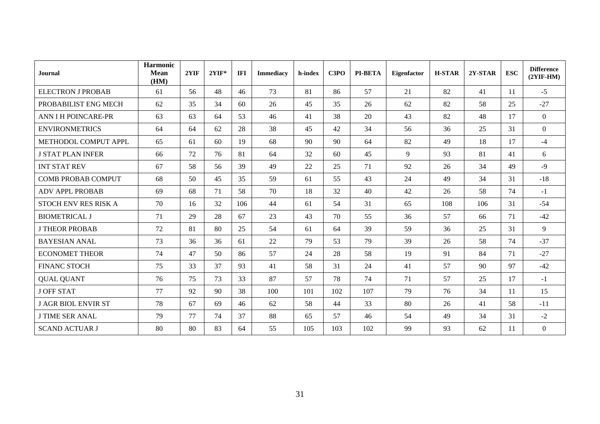| <b>Journal</b>             | <b>Harmonic</b><br><b>Mean</b><br>(HM) | 2YIF | $2YIF*$ | IFI | <b>Immediacy</b> | h-index | C3PO | PI-BETA | Eigenfactor | <b>H-STAR</b> | 2Y-STAR | <b>ESC</b> | <b>Difference</b><br>$(2YIF-HM)$ |
|----------------------------|----------------------------------------|------|---------|-----|------------------|---------|------|---------|-------------|---------------|---------|------------|----------------------------------|
| <b>ELECTRON J PROBAB</b>   | 61                                     | 56   | 48      | 46  | 73               | 81      | 86   | 57      | 21          | 82            | 41      | 11         | $-5$                             |
| PROBABILIST ENG MECH       | 62                                     | 35   | 34      | 60  | 26               | 45      | 35   | 26      | 62          | 82            | 58      | 25         | $-27$                            |
| <b>ANN I H POINCARE-PR</b> | 63                                     | 63   | 64      | 53  | 46               | 41      | 38   | 20      | 43          | 82            | 48      | 17         | $\overline{0}$                   |
| <b>ENVIRONMETRICS</b>      | 64                                     | 64   | 62      | 28  | 38               | 45      | 42   | 34      | 56          | 36            | 25      | 31         | $\theta$                         |
| METHODOL COMPUT APPL       | 65                                     | 61   | 60      | 19  | 68               | 90      | 90   | 64      | 82          | 49            | 18      | 17         | $-4$                             |
| <b>J STAT PLAN INFER</b>   | 66                                     | 72   | 76      | 81  | 64               | 32      | 60   | 45      | 9           | 93            | 81      | 41         | 6                                |
| <b>INT STAT REV</b>        | 67                                     | 58   | 56      | 39  | 49               | 22      | 25   | 71      | 92          | 26            | 34      | 49         | $-9$                             |
| <b>COMB PROBAB COMPUT</b>  | 68                                     | 50   | 45      | 35  | 59               | 61      | 55   | 43      | 24          | 49            | 34      | 31         | $-18$                            |
| <b>ADV APPL PROBAB</b>     | 69                                     | 68   | 71      | 58  | 70               | 18      | 32   | 40      | 42          | 26            | 58      | 74         | $-1$                             |
| STOCH ENV RES RISK A       | 70                                     | 16   | 32      | 106 | 44               | 61      | 54   | 31      | 65          | 108           | 106     | 31         | $-54$                            |
| <b>BIOMETRICAL J</b>       | 71                                     | 29   | 28      | 67  | 23               | 43      | 70   | 55      | 36          | 57            | 66      | 71         | $-42$                            |
| <b>J THEOR PROBAB</b>      | 72                                     | 81   | 80      | 25  | 54               | 61      | 64   | 39      | 59          | 36            | 25      | 31         | 9                                |
| <b>BAYESIAN ANAL</b>       | 73                                     | 36   | 36      | 61  | 22               | 79      | 53   | 79      | 39          | 26            | 58      | 74         | $-37$                            |
| <b>ECONOMET THEOR</b>      | 74                                     | 47   | 50      | 86  | 57               | 24      | 28   | 58      | 19          | 91            | 84      | 71         | $-27$                            |
| <b>FINANC STOCH</b>        | 75                                     | 33   | 37      | 93  | 41               | 58      | 31   | 24      | 41          | 57            | 90      | 97         | $-42$                            |
| <b>QUAL QUANT</b>          | 76                                     | 75   | 73      | 33  | 87               | 57      | 78   | 74      | 71          | 57            | 25      | 17         | $-1$                             |
| <b>J OFF STAT</b>          | 77                                     | 92   | 90      | 38  | 100              | 101     | 102  | 107     | 79          | 76            | 34      | 11         | 15                               |
| <b>J AGR BIOL ENVIR ST</b> | 78                                     | 67   | 69      | 46  | 62               | 58      | 44   | 33      | 80          | 26            | 41      | 58         | $-11$                            |
| <b>J TIME SER ANAL</b>     | 79                                     | 77   | 74      | 37  | 88               | 65      | 57   | 46      | 54          | 49            | 34      | 31         | $-2$                             |
| <b>SCAND ACTUAR J</b>      | 80                                     | 80   | 83      | 64  | 55               | 105     | 103  | 102     | 99          | 93            | 62      | 11         | $\mathbf{0}$                     |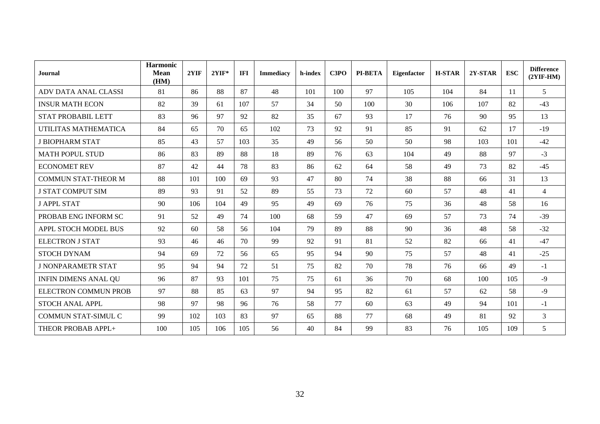| <b>Journal</b>              | Harmonic<br><b>Mean</b><br>(HM) | 2YIF | $2YIF*$ | <b>IFI</b> | <b>Immediacy</b> | h-index | C3PO | <b>PI-BETA</b> | Eigenfactor | <b>H-STAR</b> | $2Y-STAR$ | <b>ESC</b> | <b>Difference</b><br>$(2YIF-HM)$ |
|-----------------------------|---------------------------------|------|---------|------------|------------------|---------|------|----------------|-------------|---------------|-----------|------------|----------------------------------|
| ADV DATA ANAL CLASSI        | 81                              | 86   | 88      | 87         | 48               | 101     | 100  | 97             | 105         | 104           | 84        | <b>11</b>  | 5                                |
| <b>INSUR MATH ECON</b>      | 82                              | 39   | 61      | 107        | 57               | 34      | 50   | 100            | 30          | 106           | 107       | 82         | $-43$                            |
| <b>STAT PROBABIL LETT</b>   | 83                              | 96   | 97      | 92         | 82               | 35      | 67   | 93             | 17          | 76            | 90        | 95         | 13                               |
| UTILITAS MATHEMATICA        | 84                              | 65   | 70      | 65         | 102              | 73      | 92   | 91             | 85          | 91            | 62        | 17         | $-19$                            |
| <b>J BIOPHARM STAT</b>      | 85                              | 43   | 57      | 103        | 35               | 49      | 56   | 50             | 50          | 98            | 103       | 101        | $-42$                            |
| <b>MATH POPUL STUD</b>      | 86                              | 83   | 89      | 88         | 18               | 89      | 76   | 63             | 104         | 49            | 88        | 97         | $-3$                             |
| <b>ECONOMET REV</b>         | 87                              | 42   | 44      | 78         | 83               | 86      | 62   | 64             | 58          | 49            | 73        | 82         | $-45$                            |
| <b>COMMUN STAT-THEOR M</b>  | 88                              | 101  | 100     | 69         | 93               | 47      | 80   | 74             | 38          | 88            | 66        | 31         | 13                               |
| <b>J STAT COMPUT SIM</b>    | 89                              | 93   | 91      | 52         | 89               | 55      | 73   | 72             | 60          | 57            | 48        | 41         | $\overline{4}$                   |
| <b>J APPL STAT</b>          | 90                              | 106  | 104     | 49         | 95               | 49      | 69   | 76             | 75          | 36            | 48        | 58         | 16                               |
| PROBAB ENG INFORM SC        | 91                              | 52   | 49      | 74         | 100              | 68      | 59   | 47             | 69          | 57            | 73        | 74         | $-39$                            |
| APPL STOCH MODEL BUS        | 92                              | 60   | 58      | 56         | 104              | 79      | 89   | 88             | 90          | 36            | 48        | 58         | $-32$                            |
| <b>ELECTRON J STAT</b>      | 93                              | 46   | 46      | 70         | 99               | 92      | 91   | 81             | 52          | 82            | 66        | 41         | $-47$                            |
| <b>STOCH DYNAM</b>          | 94                              | 69   | 72      | 56         | 65               | 95      | 94   | 90             | 75          | 57            | 48        | 41         | $-25$                            |
| <b>J NONPARAMETR STAT</b>   | 95                              | 94   | 94      | 72         | 51               | 75      | 82   | 70             | 78          | 76            | 66        | 49         | $-1$                             |
| <b>INFIN DIMENS ANAL QU</b> | 96                              | 87   | 93      | 101        | 75               | 75      | 61   | 36             | 70          | 68            | 100       | 105        | $-9$                             |
| <b>ELECTRON COMMUN PROB</b> | 97                              | 88   | 85      | 63         | 97               | 94      | 95   | 82             | 61          | 57            | 62        | 58         | $-9$                             |
| <b>STOCH ANAL APPL</b>      | 98                              | 97   | 98      | 96         | 76               | 58      | 77   | 60             | 63          | 49            | 94        | 101        | $-1$                             |
| <b>COMMUN STAT-SIMUL C</b>  | 99                              | 102  | 103     | 83         | 97               | 65      | 88   | 77             | 68          | 49            | 81        | 92         | 3                                |
| THEOR PROBAB APPL+          | 100                             | 105  | 106     | 105        | 56               | 40      | 84   | 99             | 83          | 76            | 105       | 109        | 5                                |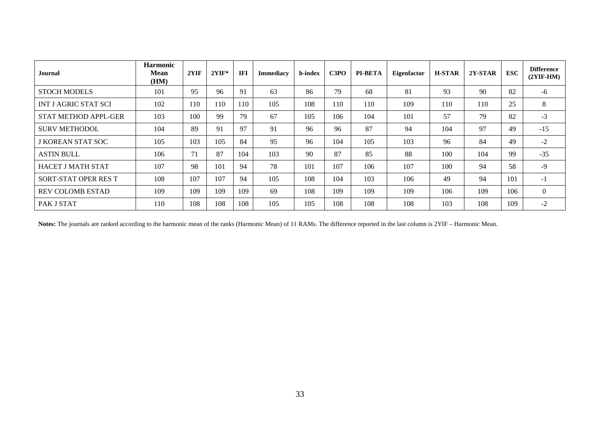| Journal                     | <b>Harmonic</b><br>Mean<br>(HM) | 2YIF | $2YIF*$ | <b>IFI</b> | <b>Immediacy</b> | h-index | C3PO | <b>PI-BETA</b> | <b>Eigenfactor</b> | <b>H-STAR</b> | $2Y-STAR$ | <b>ESC</b> | <b>Difference</b><br>$(2YIF-HM)$ |
|-----------------------------|---------------------------------|------|---------|------------|------------------|---------|------|----------------|--------------------|---------------|-----------|------------|----------------------------------|
| <b>STOCH MODELS</b>         | 101                             | 95   | 96      | 91         | 63               | 86      | 79   | 68             | 81                 | 93            | 90        | 82         | $-6$                             |
| <b>INT J AGRIC STAT SCI</b> | 102                             | 110  | 110     | 110        | 105              | 108     | 110  | 110            | 109                | 110           | 110       | 25         | 8                                |
| STAT METHOD APPL-GER        | 103                             | 100  | 99      | 79         | 67               | 105     | 106  | 104            | 101                | 57            | 79        | 82         | $-3$                             |
| <b>SURV METHODOL</b>        | 104                             | 89   | 91      | 97         | 91               | 96      | 96   | 87             | 94                 | 104           | 97        | 49         | $-15$                            |
| <b>J KOREAN STAT SOC</b>    | 105                             | 103  | 105     | 84         | 95               | 96      | 104  | 105            | 103                | 96            | 84        | 49         | $-2$                             |
| <b>ASTIN BULL</b>           | 106                             | 71   | 87      | 104        | 103              | 90      | 87   | 85             | 88                 | 100           | 104       | 99         | $-35$                            |
| <b>HACET J MATH STAT</b>    | 107                             | 98   | 101     | 94         | 78               | 101     | 107  | 106            | 107                | 100           | 94        | 58         | $-9$                             |
| SORT-STAT OPER RES T        | 108                             | 107  | 107     | 94         | 105              | 108     | 104  | 103            | 106                | 49            | 94        | 101        | $-1$                             |
| <b>REV COLOMB ESTAD</b>     | 109                             | 109  | 109     | 109        | 69               | 108     | 109  | 109            | 109                | 106           | 109       | 106        | $\overline{0}$                   |
| PAK J STAT                  | 110                             | 108  | 108     | 108        | 105              | 105     | 108  | 108            | 108                | 103           | 108       | 109        | $-2$                             |

**Notes:** The journals are ranked according to the harmonic mean of the ranks (Harmonic Mean) of 11 RAMs. The difference reported in the last column is 2YIF – Harmonic Mean.